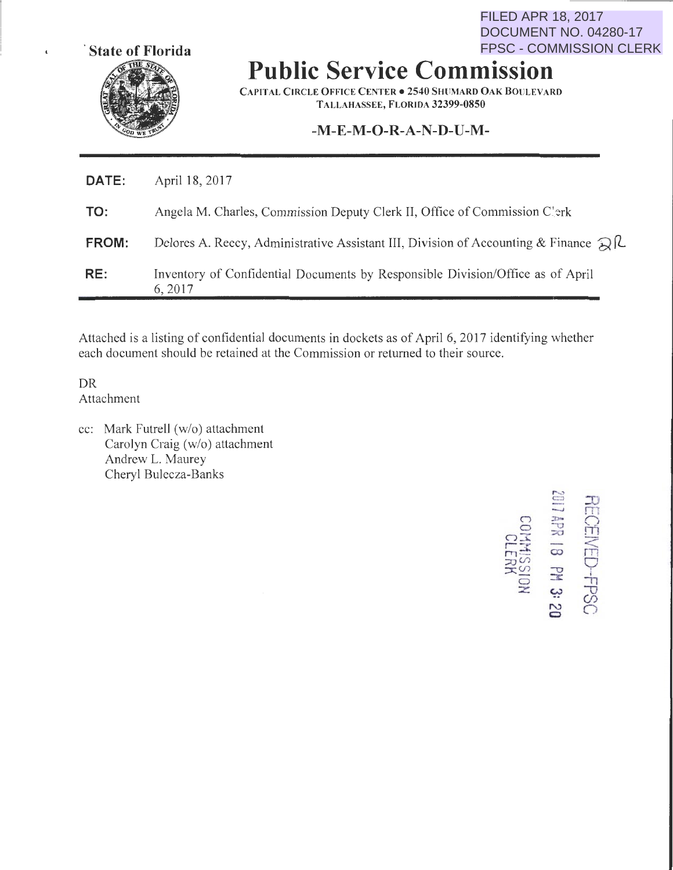

 $\epsilon$ 

**Public Service Commission**  FPSC - COMMISSION CLERK

CAPITAL CIRCLE OFFICE CENTER • 2540 SHliMARD OAK BOlJLEVARD TALLAHASSEE, FLORIDA 32399-0850

### **-M-E-M-0-R-A-N-D-U-M-**

| RE:   | Inventory of Confidential Documents by Responsible Division/Office as of April<br>6, 2017                  |
|-------|------------------------------------------------------------------------------------------------------------|
| FROM: | Delores A. Reecy, Administrative Assistant III, Division of Accounting & Finance $\mathbb{Q}[\mathcal{L}]$ |
| TO:   | Angela M. Charles, Commission Deputy Clerk II, Office of Commission C'erk                                  |
| DATE: | April 18, 2017                                                                                             |

Attached is a listing of confidential documents in dockets as of April 6, 2017 identifying whether each document should be retained at the Commission or returned to their source.

DR Attachment

cc: Mark Futrell (w/o) attachment Carolyn Craig (w/o) attachment Andrew L. Maurey Cheryl Bulecza-Banks

 $\subset$  $\subset$  $25$  $\Xi$  :  $\lim_{\infty}$  $\approx$  $\overline{\circ}$ z  $\mathbb{S}$  $\Xi$  m  $\frac{1}{2}$   $\frac{1}{2}$  $\overline{\mathbb{R}}$  $\begin{matrix} \nabla \cdot \mathbf{H} & \mathbf{H} \end{matrix}$ w "'0 (/) "' 0 **<sup>0</sup>**

FILED APR 18, 2017

DOCUMENT NO. 04280-17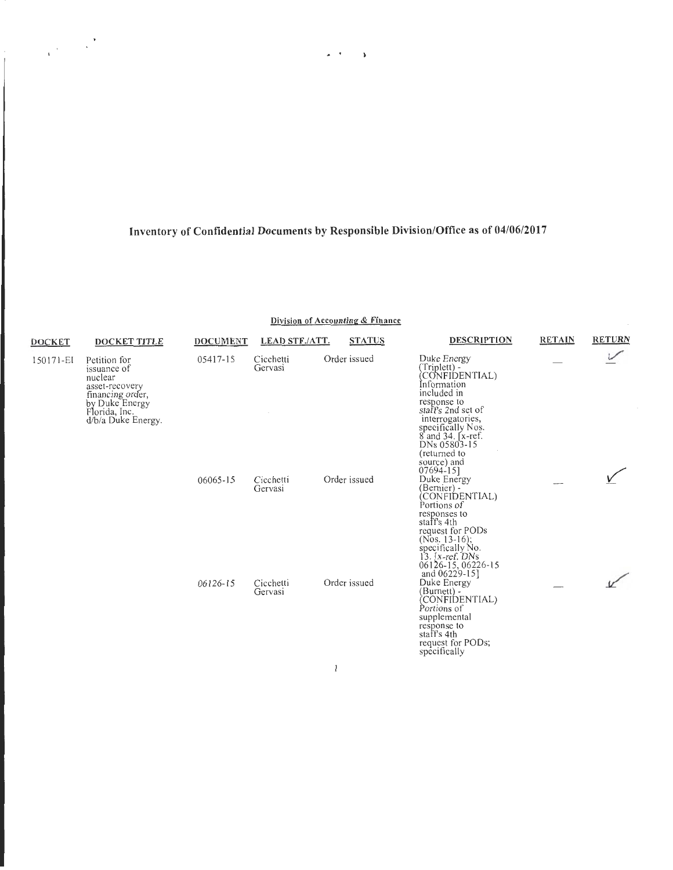$\omega_{\rm eff}$  ,  $\omega_{\rm eff}$ 

 $\label{eq:2} \frac{1}{\sqrt{2\pi}}\left(\frac{1}{\sqrt{2\pi}}\right)^{1/2}$ 

Division of Accounting & Finance

| <b>DOCKET</b> | <b>DOCKET TITLE</b>                                                                                                                   | <b>DOCUMENT</b> | <b>LEAD STF./ATT.</b> | <b>STATUS</b> | <b>DESCRIPTION</b>                                                                                                                                                                                                                             | <b>RETAIN</b> | <b>RETURN</b> |
|---------------|---------------------------------------------------------------------------------------------------------------------------------------|-----------------|-----------------------|---------------|------------------------------------------------------------------------------------------------------------------------------------------------------------------------------------------------------------------------------------------------|---------------|---------------|
| 150171-EI     | Petition for<br>issuance of<br>nuclear<br>asset-recovery<br>financing order,<br>by Duke Energy<br>Florida, Inc.<br>d/b/a Duke Energy. | 05417-15        | Cicchetti<br>Gervasi  | Order issued  | Duke Energy<br>(Triplett) -<br>(CONFIDENTIAL)<br>Information<br>included in<br>response to<br>staff's 2nd set of<br>interrogatories,<br>specifically Nos.<br>8 and 34. [x-ref.]<br>DNs 05803-15<br>(returned to<br>source) and<br>$07694 - 15$ |               |               |
|               |                                                                                                                                       | 06065-15        | Cicchetti<br>Gervasi  | Order issued  | Duke Energy<br>(Bernier) -<br>CONFIDENTIAL)<br>Portions of<br>responses to<br>staff's 4th<br>request for PODs<br>(Nos. 13-16);<br>specifically No.<br>$13.$ [x-ref. DNs]<br>06126-15, 06226-15<br>and 06229-15]                                |               |               |
|               |                                                                                                                                       | 06126-15        | Cicchetti<br>Gervasi  | Order issued  | Duke Energy<br>(Burnett) -<br>(CONFIDENTIAL)<br>Portions of<br>supplemental<br>response to<br>staff's 4th<br>request for PODs;<br>specifically                                                                                                 |               |               |

 $\mathbf{l}$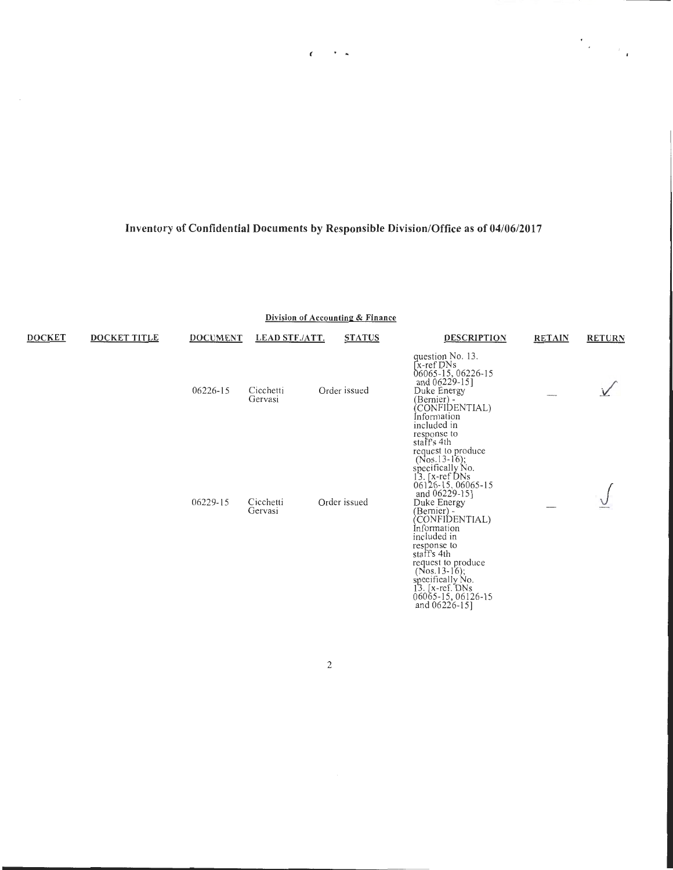$\mathcal{F}=\mathbf{a}$ 

 $\epsilon$ 

 $\label{eq:2} \frac{d\mathbf{r}}{d\mathbf{r}} = \frac{1}{2} \mathbf{r} \mathbf{r}$ 

**Division of Accounting & Finance** 

| <b>DOCKET</b> | <b>DOCKET TITLE</b> | <b>DOCUMENT</b> | <b>LEAD STF./ATT.</b> | <b>STATUS</b> | <b>DESCRIPTION</b>                                                                                                                                                                                                                                                                                                                                                                    | <b>RETAIN</b> | <b>RETURN</b> |
|---------------|---------------------|-----------------|-----------------------|---------------|---------------------------------------------------------------------------------------------------------------------------------------------------------------------------------------------------------------------------------------------------------------------------------------------------------------------------------------------------------------------------------------|---------------|---------------|
|               |                     | 06226-15        | Cicchetti<br>Gervasi  | Order issued  | question No. 13.<br>[x-ref DNs]<br>06065-15, 06226-15<br>and 06229-15]<br>Duke Energy<br>(Bernier) -<br>(CONFIDENTIAL)<br>Information<br>included in                                                                                                                                                                                                                                  |               |               |
|               |                     | 06229-15        | Cicchetti<br>Gervasi  | Order issued  | response to<br>staff's 4th<br>request to produce<br>$(Nos.13-16);$<br>specifically No.<br>13. [x-ref DNs<br>06126-15, 06065-15<br>and 06229-15]<br>Duke Energy<br>(Bernier) -<br>(CONFIDENTIAL)<br>Information<br>included in<br>response to<br>staff's 4th<br>request to produce<br>$(Nos.13-16)$ ;<br>specifically No.<br>13. $[x-ref. DNs]$<br>06065-15, 06126-15<br>and 06226-151 |               |               |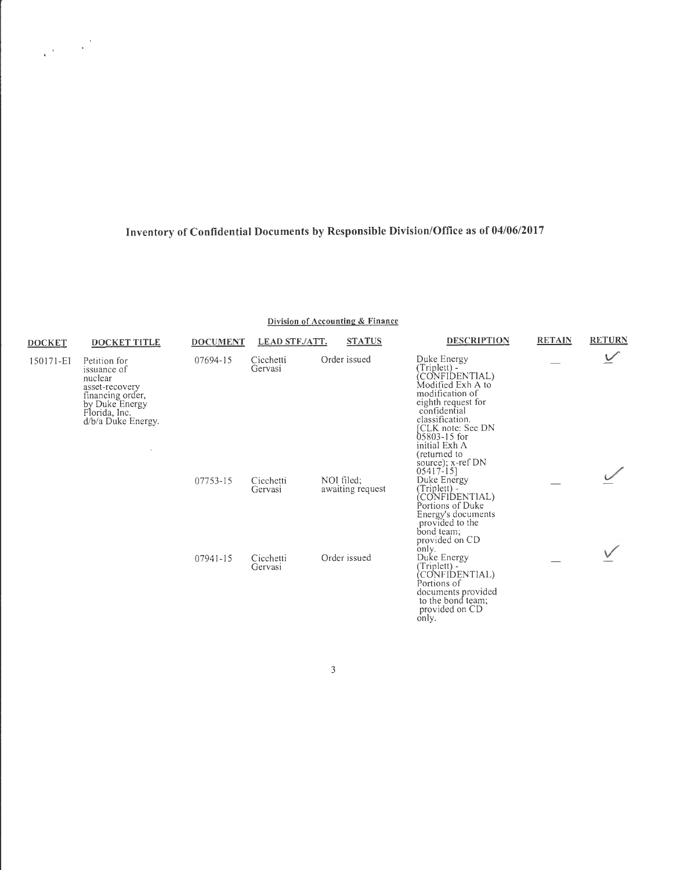$\label{eq:2} \frac{1}{\sqrt{2\pi}}\left(\frac{1}{\sqrt{2\pi}}\right)^{1/2}\frac{1}{\sqrt{2\pi}}\left(\frac{1}{\sqrt{2\pi}}\right)^{1/2}$ 

**Division of Accounting & Finance** 

| <b>DOCKET</b> | DOCKET TITLE                                                                                                                          | <b>DOCUMENT</b> | <b>LEAD STF./ATT.</b> | <b>STATUS</b>                  | <b>DESCRIPTION</b>                                                                                                                                                                                                                                          | <b>RETAIN</b> | <b>RETURN</b> |
|---------------|---------------------------------------------------------------------------------------------------------------------------------------|-----------------|-----------------------|--------------------------------|-------------------------------------------------------------------------------------------------------------------------------------------------------------------------------------------------------------------------------------------------------------|---------------|---------------|
| 150171-EI     | Petition for<br>issuance of<br>nuclear<br>asset-recovery<br>financing order,<br>by Duke Energy<br>Florida, Inc.<br>d/b/a Duke Energy. | 07694-15        | Cicchetti<br>Gervasi  | Order issued                   | Duke Energy<br>(Triplett) -<br>CONFIDENTIAL)<br>Modified Exh A to<br>modification of<br>eighth request for<br>confidential<br>classification.<br>CLK note: See DN<br>$05803 - 15$ for<br>initial Exh A<br>(returned to<br>source); x-ref DN<br>$05417 - 15$ |               |               |
|               |                                                                                                                                       | 07753-15        | Cicchetti<br>Gervasi  | NOI filed:<br>awaiting request | Duke Energy<br>(Triplett) -<br>CONFIDENTIAL)<br>Portions of Duke<br>Energy's documents<br>provided to the<br>bond team;<br>provided on CD                                                                                                                   |               |               |
|               |                                                                                                                                       | 07941-15        | Cicchetti<br>Gervasi  | Order issued                   | only.<br>Duke Energy<br>(Triplett) -<br>CONFIDENTIAL)<br>Portions of<br>documents provided<br>to the bond team;<br>provided on CD<br>only.                                                                                                                  |               |               |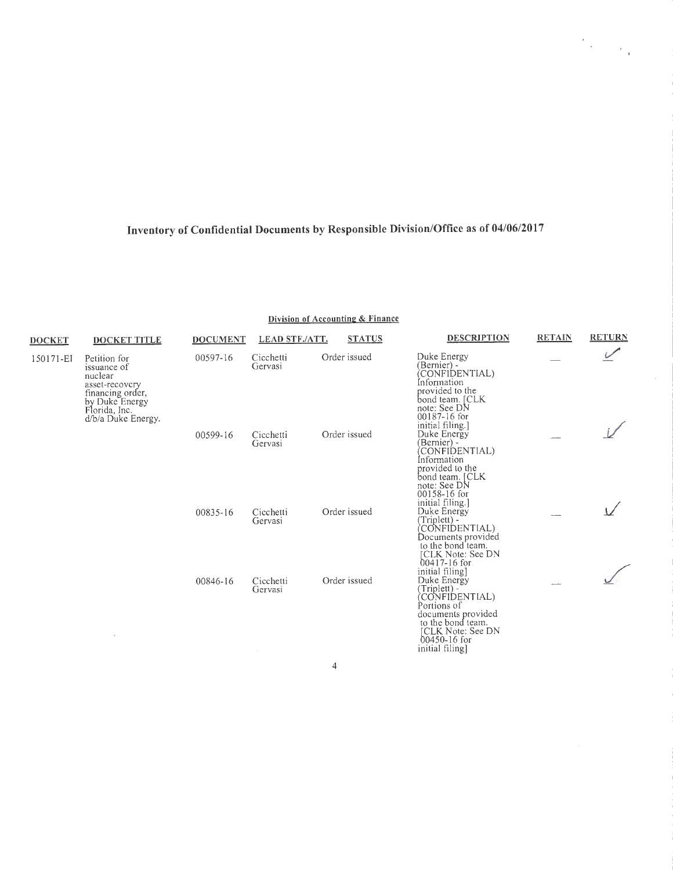$\label{eq:2} \frac{d^2\phi}{dt^2} = \frac{1}{2\pi\epsilon^2} \frac{1}{\sqrt{2\pi\epsilon^2}}$ 

 $\bar{z}$ 

| Division of Accounting & Finance |
|----------------------------------|
|----------------------------------|

| <b>DOCKET</b> | <b>DOCKET TITLE</b>                                                                                                                   | <b>DOCUMENT</b> | <b>LEAD STF./ATT.</b>          | <b>STATUS</b> | <b>DESCRIPTION</b>                                                                                                                                                   | <b>RETAIN</b> | <b>RETURN</b> |
|---------------|---------------------------------------------------------------------------------------------------------------------------------------|-----------------|--------------------------------|---------------|----------------------------------------------------------------------------------------------------------------------------------------------------------------------|---------------|---------------|
| 150171-EI     | Petition for<br>issuance of<br>nuclear<br>asset-recovery<br>financing order,<br>by Duke Energy<br>Florida, Inc.<br>d/b/a Duke Energy. | 00597-16        | Cicchetti<br>Gervasi           | Order issued  | Duke Energy<br>(Bernier) -<br>CONFIDENTIAL)<br>Information<br>provided to the<br>bond team. [CLK]<br>note: See DN<br>00187-16 for                                    |               |               |
|               |                                                                                                                                       | 00599-16        | Cicchetti<br>Gervasi           | Order issued  | initial filing.]<br>Duke Energy<br>(Bernier) -<br>(CONFIDENTIAL)<br>Information<br>provided to the<br>bond team. [CLK]<br>note: See DN<br>00158-16 for               |               |               |
|               |                                                                                                                                       | 00835-16        | Cicchetti<br>Gervasi           | Order issued  | initial filing.]<br>Duke Energy<br>(Triplett) -<br>(CONFIDENTIAL)<br>Documents provided<br>to the bond team.<br>[CLK Note: See DN<br>00417-16 for<br>initial filing] |               |               |
|               |                                                                                                                                       | 00846-16        | Cicchetti<br>Gervasi<br>$\sim$ | Order issued  | Duke Energy<br>(Triplett) -<br>CONFIDENTIAL)<br>Portions of<br>documents provided<br>to the bond team.<br>[CLK Note: See DN<br>$00450 - 16$ for<br>initial filing]   |               |               |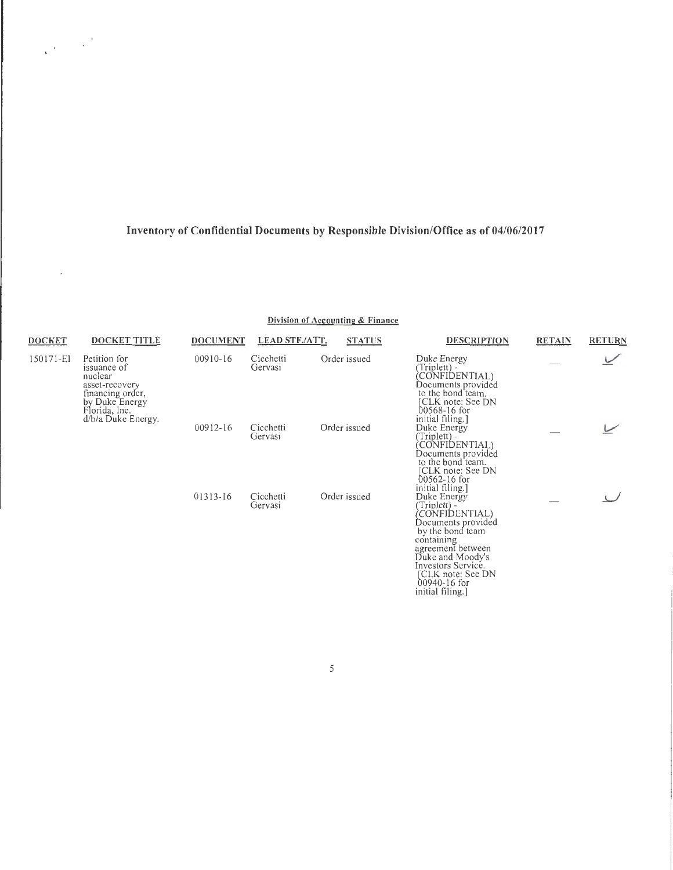$\frac{1}{\sqrt{2}}\left(\frac{1}{\sqrt{2}}\right)^{2}+\frac{1}{\sqrt{2}}\left(\frac{1}{\sqrt{2}}\right)^{2}$ 

 $\bar{\gamma}$ 

**Division of Accounting & Finance** 

| <b>DOCKET</b> | <b>DOCKET TITLE</b>                                                                                             | <b>DOCUMENT</b> | <b>LEAD STF./ATT.</b> | <b>STATUS</b> | <b>DESCRIPTION</b>                                                                                                                                                                                                                                  | <b>RETAIN</b> | <b>RETURN</b> |
|---------------|-----------------------------------------------------------------------------------------------------------------|-----------------|-----------------------|---------------|-----------------------------------------------------------------------------------------------------------------------------------------------------------------------------------------------------------------------------------------------------|---------------|---------------|
| 150171-EI     | Petition for<br>issuance of<br>nuclear<br>asset-recovery<br>financing order,<br>by Duke Energy<br>Florida, Inc. | 00910-16        | Cicchetti<br>Gervasi  | Order issued  | Duke Energy<br>(Triplett) -<br>CONFIDENTIAL)<br>Documents provided<br>to the bond team.<br>[CLK note: See DN<br>00568-16 for                                                                                                                        |               |               |
|               | d/b/a Duke Energy.                                                                                              | 00912-16        | Cicchetti<br>Gervasi  | Order issued  | initial filing.]<br>Duke Energy<br>(Triplett) -<br>CONFIDENTIAL)<br>Documents provided<br>to the bond team.<br>[CLK note: See DN<br>00562-16 for                                                                                                    |               |               |
|               |                                                                                                                 | 01313-16        | Cicchetti<br>Gervasi  | Order issued  | initial filing.]<br>Duke Energy<br>(Triplett) -<br>CONFIDENTIAL)<br>Documents provided<br>by the bond team<br>containing<br>agreement between<br>Duke and Moody's<br>Investors Service.<br>[CLK note: See DN<br>$00940 - 16$ for<br>initial filing. |               |               |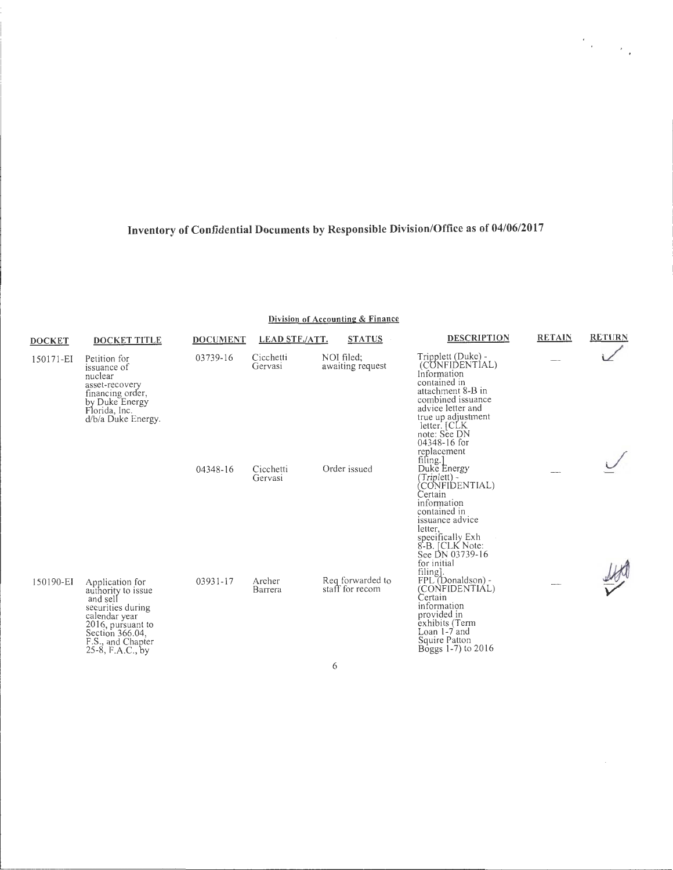$\label{eq:2} \frac{d\mathcal{L}_{\text{max}}}{d\mathcal{L}_{\text{max}}}\leq \frac{1}{2\sqrt{2}}\sum_{i=1}^{2}\left(\frac{1}{2}\sum_{i=1}^{2}\left(\frac{1}{2}\sum_{i=1}^{2}\left(\frac{1}{2}\right)^{2}+\frac{1}{2}\sum_{i=1}^{2}\left(\frac{1}{2}\right)^{2}+\frac{1}{2}\sum_{i=1}^{2}\left(\frac{1}{2}\sum_{i=1}^{2}\left(\frac{1}{2}\right)^{2}+\frac{1}{2}\sum_{i=1}^{2}\left(\frac{1}{2}\right)^{2}+\frac{1}{2}\sum_{i$ 

Division of Accounting & Finance

| <b>DOCKET</b> | <b>DOCKET TITLE</b>                                                                                                                                                      | <b>DOCUMENT</b> | <b>LEAD STF./ATT.</b> | <b>STATUS</b>                       | <b>DESCRIPTION</b>                                                                                                                                                                                                                   | <b>RETAIN</b> | <b>RETURN</b> |
|---------------|--------------------------------------------------------------------------------------------------------------------------------------------------------------------------|-----------------|-----------------------|-------------------------------------|--------------------------------------------------------------------------------------------------------------------------------------------------------------------------------------------------------------------------------------|---------------|---------------|
| 150171-EI     | Petition for<br>issuance of<br>nuclear<br>asset-recovery<br>financing order,<br>by Duke Energy<br>Florida, Inc.<br>d/b/a Duke Energy.                                    | 03739-16        | Cicchetti<br>Gervasi  | NOI filed;<br>awaiting request      | Tripplett (Duke) -<br>(CONFIDENTIAL)<br>Information<br>contained in<br>attachment 8-B in<br>combined issuance<br>advice letter and<br>true up adjustment<br>letter. [CLK]<br>note: See DN<br>04348-16 for<br>replacement<br>filing.] |               |               |
|               |                                                                                                                                                                          | 04348-16        | Cicchetti<br>Gervasi  | Order issued                        | Duke Energy<br>(Triplett) -<br>(CONFIDENTIAL)<br>Certain<br>information<br>contained in<br>issuance advice<br>letter,<br>specifically Exh<br>8-B. [CLK Note:<br>See DN 03739-16<br>for initial<br>filing].                           |               |               |
| 150190-EI     | Application for<br>authority to issue<br>and sell<br>securities during<br>calendar year<br>2016, pursuant to<br>Section 366.04,<br>F.S., and Chapter<br>25-8, F.A.C., by | 03931-17        | Archer<br>Barrera     | Req forwarded to<br>staff for recom | FPL (Donaldson) -<br>(CONFIDENTIAL)<br>Certain<br>information<br>provided in<br>exhibits (Term<br>Loan 1-7 and<br>Squire Patton<br>Boggs $1-7$ ) to $2016$                                                                           |               |               |

 $\boldsymbol{6}$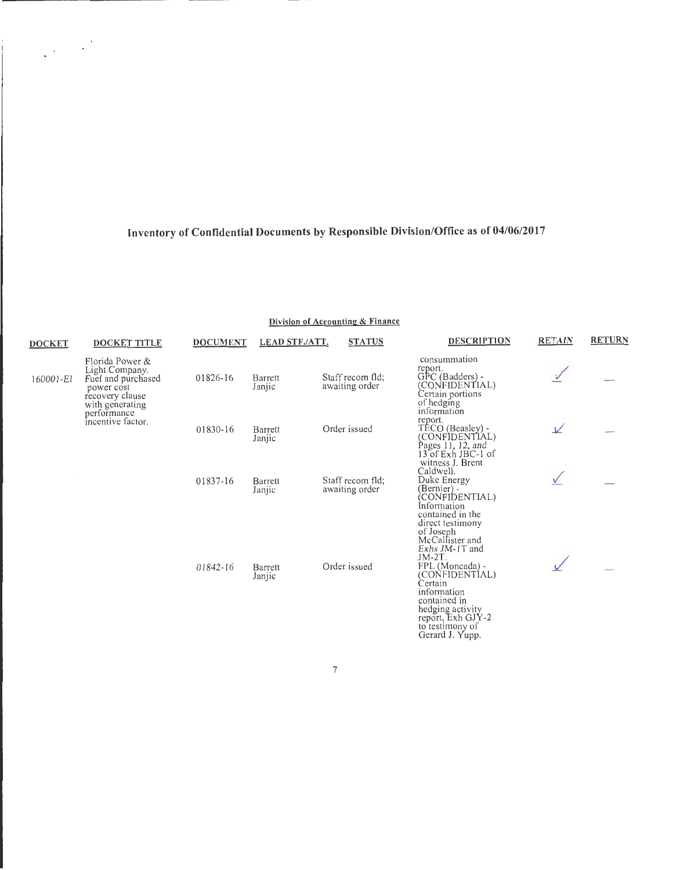$\label{eq:2} \frac{1}{2}\sum_{i=1}^n\frac{1}{2}\sum_{j=1}^n\frac{1}{2}\sum_{j=1}^n\frac{1}{2}\sum_{j=1}^n\frac{1}{2}\sum_{j=1}^n\frac{1}{2}\sum_{j=1}^n\frac{1}{2}\sum_{j=1}^n\frac{1}{2}\sum_{j=1}^n\frac{1}{2}\sum_{j=1}^n\frac{1}{2}\sum_{j=1}^n\frac{1}{2}\sum_{j=1}^n\frac{1}{2}\sum_{j=1}^n\frac{1}{2}\sum_{j=1}^n\frac{1}{2}\sum_{j=1}^n\frac{$ 

#### Division of Accounting & Finance

| <b>DOCKET</b> | DOCKET TITLE                                                                                                | <b>DOCUMENT</b> | <b>LEAD STF./ATT.</b> | <b>STATUS</b>                      | <b>DESCRIPTION</b>                                                                                                                                                                                                                              | <b>RETAIN</b> | <b>RETURN</b> |
|---------------|-------------------------------------------------------------------------------------------------------------|-----------------|-----------------------|------------------------------------|-------------------------------------------------------------------------------------------------------------------------------------------------------------------------------------------------------------------------------------------------|---------------|---------------|
| 160001-EI     | Florida Power &<br>Light Company.<br>Fuel and purchased<br>power cost<br>recovery clause<br>with generating | 01826-16        | Barrett<br>Janjic     | Staff recom fld;<br>awaiting order | consummation<br>report.<br>GPC (Badders) -<br>(CONFIDENTIAL)<br>Certain portions<br>of hedging<br>information                                                                                                                                   |               |               |
|               | performance<br>incentive factor.                                                                            | 01830-16        | Barrett<br>Janjic     | Order issued                       | report.<br>TECO (Beasley) -<br>(CONFIDENTIAL)<br>Pages 11, 12, and<br>13 of Exh JBC-1 of                                                                                                                                                        | $\sqrt{ }$    |               |
|               |                                                                                                             | 01837-16        | Barrett<br>Janjic     | Staff recom fld;<br>awaiting order | witness J. Brent<br>Caldwell.<br>Duke Energy<br>(Bernier) -<br>(CONFIDENTIAL)<br>Information<br>contained in the                                                                                                                                |               |               |
|               |                                                                                                             | 01842-16        | Barrett<br>Janjic     | Order issued                       | direct testimony<br>of Joseph<br>McCallister and<br>Exhs JM-1T and<br>$JM-2T$ .<br>$FPL$ (Moncada) -<br>(CONFIDENTIAL)<br>Certain<br>information<br>contained in<br>hedging activity<br>report, Exh GJY-2<br>to testimony of<br>Gerard J. Yupp. |               |               |

 $\boldsymbol{7}$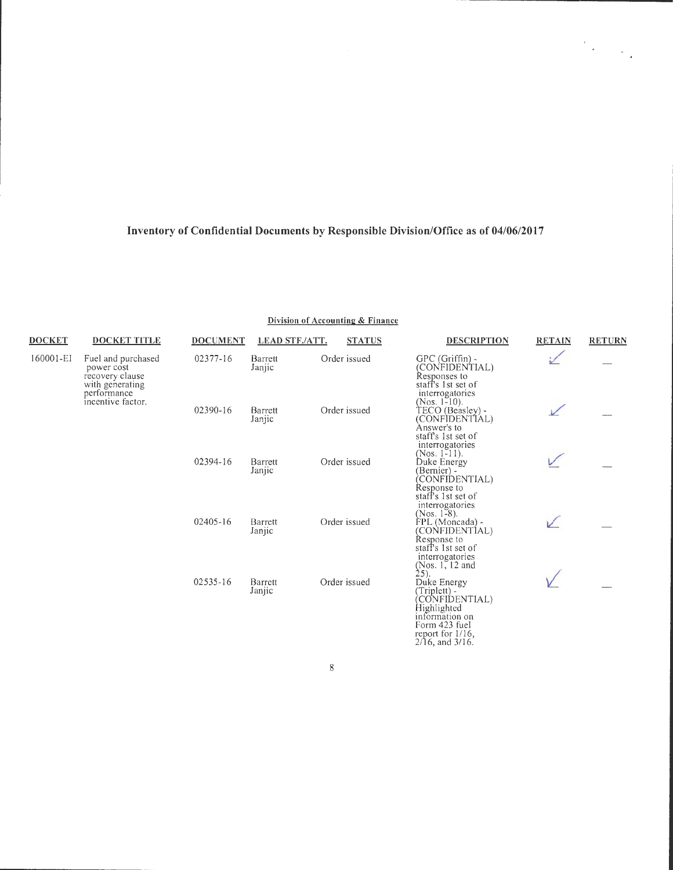$\label{eq:2} \frac{d\mathcal{L}_{\text{max}}}{d\mathcal{L}_{\text{max}}}\leq \frac{1}{\sqrt{2}}\sum_{i=1}^{n} \frac{1}{\sqrt{2}}\sum_{i=1}^{n} \frac{1}{\sqrt{2}}\sum_{i=1}^{n} \frac{1}{\sqrt{2}}\sum_{i=1}^{n} \frac{1}{\sqrt{2}}\sum_{i=1}^{n} \frac{1}{\sqrt{2}}\sum_{i=1}^{n} \frac{1}{\sqrt{2}}\sum_{i=1}^{n} \frac{1}{\sqrt{2}}\sum_{i=1}^{n} \frac{1}{\sqrt{2}}\sum_{i=1}^{n} \frac$ 

| <b>DOCKET</b> | <b>DOCKET TITLE</b>                                                    | <b>DOCUMENT</b> | <b>LEAD STF./ATT.</b> | <b>STATUS</b> | <b>DESCRIPTION</b>                                                                                                                                                                             | <b>RETAIN</b> | <b>RETURN</b> |
|---------------|------------------------------------------------------------------------|-----------------|-----------------------|---------------|------------------------------------------------------------------------------------------------------------------------------------------------------------------------------------------------|---------------|---------------|
| 160001-EI     | Fuel and purchased<br>power cost<br>recovery clause<br>with generating | 02377-16        | Barrett<br>Janjic     | Order issued  | $GPC(Griffin) -$<br>(CONFIDENTIAL)<br>Responses to<br>staff's 1st set of                                                                                                                       |               |               |
|               | performance<br>incentive factor.                                       | 02390-16        | Barrett<br>Janjic     | Order issued  | interrogatories<br>(Nos. $1-10$ ).<br>TECO (Beasley) -<br>(CONFÌDENTIAL)<br>Answer's to<br>staff's 1st set of                                                                                  |               |               |
|               |                                                                        | 02394-16        | Barrett<br>Janjic     | Order issued  | interrogatories<br>(Nos. $1-11$ ).<br>Duke Energy<br>(Bernier) -<br>(CONFIDENTIAL)<br>Response to                                                                                              |               |               |
|               |                                                                        | 02405-16        | Barrett<br>Janjic     | Order issued  | staff's 1st set of<br>interrogatories<br>(Nos. 1-8).<br>FPL (Moncada) -<br>(CONFIDENTIAL)<br>Response to<br>staff's 1st set of                                                                 |               |               |
|               |                                                                        | 02535-16        | Barrett<br>Janjic     | Order issued  | interrogatories<br>(Nos. $1, 12$ and<br>25).<br>Duke Energy<br>(Triplett) -<br>CONFIDENTIAL)<br>Highlighted<br>information on<br>Form 423 fuel<br>report for $1/16$ ,<br>$2/16$ , and $3/16$ . |               |               |

#### **Division of Accounting & Finance**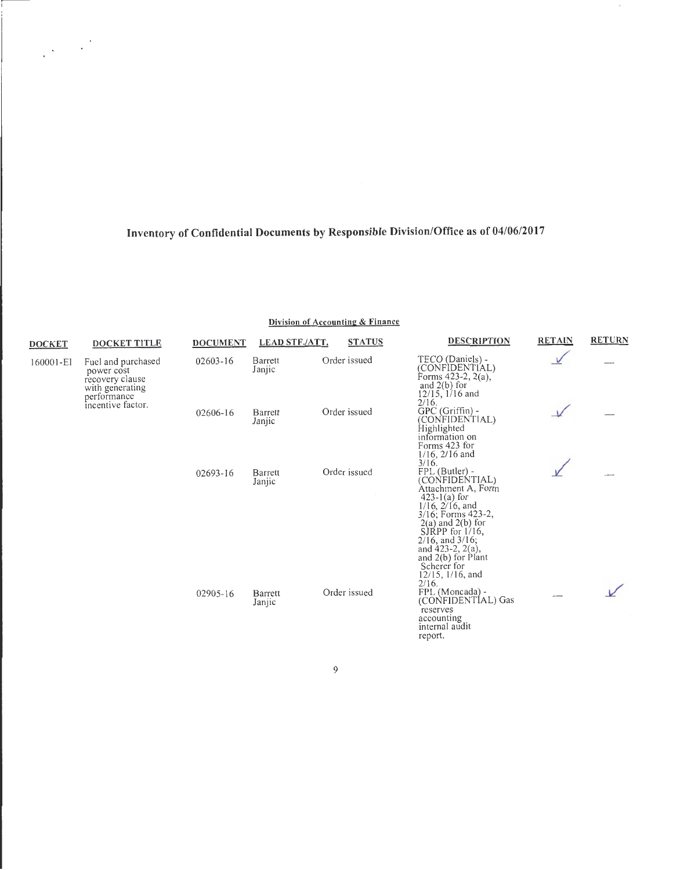$\label{eq:2} \frac{1}{2}\sum_{i=1}^n\frac{1}{2}\sum_{j=1}^n\frac{1}{2}\sum_{j=1}^n\frac{1}{2}\sum_{j=1}^n\frac{1}{2}\sum_{j=1}^n\frac{1}{2}\sum_{j=1}^n\frac{1}{2}\sum_{j=1}^n\frac{1}{2}\sum_{j=1}^n\frac{1}{2}\sum_{j=1}^n\frac{1}{2}\sum_{j=1}^n\frac{1}{2}\sum_{j=1}^n\frac{1}{2}\sum_{j=1}^n\frac{1}{2}\sum_{j=1}^n\frac{1}{2}\sum_{j=1}^n\frac{$ 

#### **Division of Accounting & Finance**

| <b>DOCKET</b> | <b>DOCKET TITLE</b>                                                                   | <b>DOCUMENT</b> | <b>LEAD STF/ATT.</b> | <b>STATUS</b> | <b>DESCRIPTION</b>                                                                                                                                                                                                                                                                                  | <b>RETAIN</b> | <b>RETURN</b> |
|---------------|---------------------------------------------------------------------------------------|-----------------|----------------------|---------------|-----------------------------------------------------------------------------------------------------------------------------------------------------------------------------------------------------------------------------------------------------------------------------------------------------|---------------|---------------|
| 160001-EI     | Fuel and purchased<br>power cost<br>recovery clause<br>with generating<br>performance | $02603 - 16$    | Barrett<br>Janjic    | Order issued  | TECO (Daniels) -<br>(CONFIDENTIAL)<br>Forms 423-2, 2(a),<br>and $2(b)$ for<br>$12/15$ , $1/16$ and                                                                                                                                                                                                  |               |               |
|               | incentive factor.                                                                     | 02606-16        | Barrett<br>Janjic    | Order issued  | 2/16.<br>GPC (Griffin) -<br>(CONFIDENTIAL)<br>Highlighted<br>information on<br>Forms 423 for<br>$1/16$ , $2/16$ and<br>3/16.                                                                                                                                                                        |               |               |
|               |                                                                                       | 02693-16        | Barrett<br>Janjic    | Order issued  | FPL (Butler) -<br>(CONFIDENTIAL)<br>Attachment A, Form<br>$423 - 1(a)$ for<br>$1/16$ , $2/16$ , and<br>3/16; Forms 423-2,<br>$2(a)$ and $2(b)$ for<br>SJRPP for $1/16$ ,<br>$2/16$ , and $3/16$ ;<br>and $423-2$ , $2(a)$ ,<br>and 2(b) for Plant<br>Scherer for<br>$12/15$ , $1/16$ , and<br>2/16. |               |               |
|               |                                                                                       | 02905-16        | Barrett<br>Janjic    | Order issued  | FPL (Moncada) -<br>(CONFIDENTIAL) Gas<br>reserves<br>accounting<br>internal audit<br>report.                                                                                                                                                                                                        |               |               |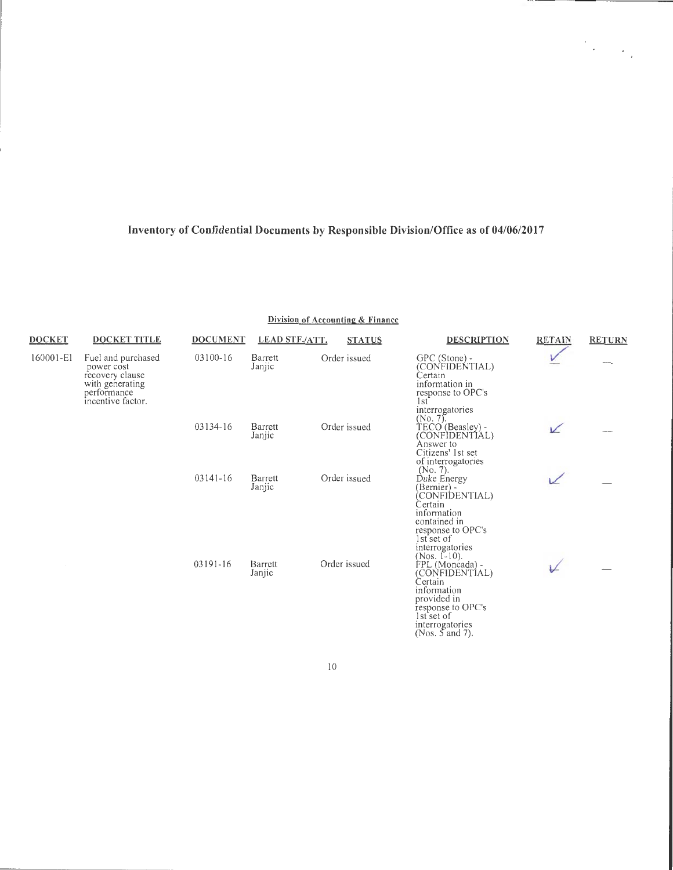$\sim$ 

 $\mathcal{O}(\mathcal{E}_{\mathcal{A}})$ 

|  | Division of Accounting & Finance |
|--|----------------------------------|
|--|----------------------------------|

| <b>DOCKET</b> | DOCKET TITLE                                                                                               | <b>DOCUMENT</b> | <b>LEAD STF./ATT.</b> | <b>STATUS</b> | <b>DESCRIPTION</b>                                                                                                                                                     | RETAIN    | <b>RETURN</b> |
|---------------|------------------------------------------------------------------------------------------------------------|-----------------|-----------------------|---------------|------------------------------------------------------------------------------------------------------------------------------------------------------------------------|-----------|---------------|
| 160001-E1     | Fuel and purchased<br>power cost<br>recovery clause<br>with generating<br>performance<br>incentive factor. | 03100-16        | Barrett<br>Janjic     | Order issued  | GPC (Stone) -<br>(CONFIDENTIAL)<br>Certain<br>information in<br>response to OPC's<br>1st<br>interrogatories                                                            |           |               |
|               |                                                                                                            | 03134-16        | Barrett<br>Janjic     | Order issued  | $(No. 7)$ .<br>TECO (Beasley) -<br>(CONFIDENTIAL)<br>Answer to<br>Citizens' 1st set<br>of interrogatories                                                              | $\sqrt{}$ |               |
|               |                                                                                                            | $03141 - 16$    | Barrett<br>Janjic     | Order issued  | (No. 7).<br>Duke Energy<br>(Bernier) -<br>CONFIDENTIAL)<br>Certain<br>information<br>contained in<br>response to OPC's<br>1st set of<br>interrogatories                |           |               |
|               |                                                                                                            | 03191-16        | Barrett<br>Janjic     | Order issued  | (Nos. $[-10]$ .<br>FPL (Moncada) -<br>(CONFIDENTÍAL)<br>Certain<br>information<br>provided in<br>response to OPC's<br>lst set of<br>interrogatories<br>(Nos. 5 and 7). | ⊬         |               |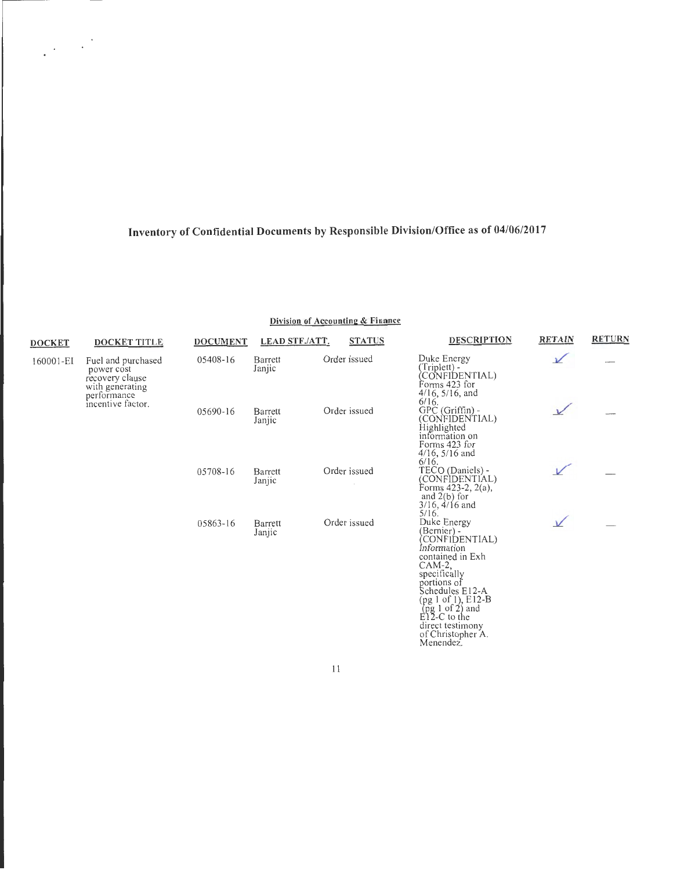$\frac{1}{2} \frac{1}{2} \left( \frac{1}{2} \frac{1}{2} \right)$ 

| <b>DOCKET</b>                          | <b>DOCKET TITLE</b>                                      | <b>DOCUMENT</b> | <b>LEAD STF./ATT.</b> | <b>STATUS</b> | <b>DESCRIPTION</b>                                                                                                                                                                                                                                                                                                                          | <b>RETAIN</b> | <b>RETURN</b> |
|----------------------------------------|----------------------------------------------------------|-----------------|-----------------------|---------------|---------------------------------------------------------------------------------------------------------------------------------------------------------------------------------------------------------------------------------------------------------------------------------------------------------------------------------------------|---------------|---------------|
| 160001-EI<br>power cost<br>performance | Fuel and purchased<br>recovery clause<br>with generating | 05408-16        | Barrett<br>Janjic     | Order issued  | Duke Energy<br>(Triplett) -<br>CONFIDENTIAL)<br>Forms 423 for<br>$4/16$ , $5/16$ , and                                                                                                                                                                                                                                                      | $\mathcal V$  |               |
|                                        | incentive factor.                                        | 05690-16        | Barrett<br>Janjic     | Order issued  | 6/16.<br>GPC (Griffin) -<br>(CONFIDENTIAL)<br>Highlighted<br>information on<br>Forms 423 for<br>$4/16$ , $5/16$ and<br>6/16.                                                                                                                                                                                                                |               |               |
|                                        |                                                          | 05708-16        | Barrett<br>Janjic     | Order issued  | TECO (Daniels) -<br>(CONFIDENTIAL)<br>Forms 423-2, 2(a),<br>and $2(b)$ for<br>$3/16$ , $4/16$ and<br>5/16.                                                                                                                                                                                                                                  |               |               |
|                                        |                                                          | 05863-16        | Barrett<br>Janjic     | Order issued  | Duke Energy<br>(Bernier) -<br>CONFIDENTIAL)<br>Information<br>contained in Exh<br>$CAM-2,$<br>specifically<br>portions of<br>Schedules E12-A<br>(pg 1 of 1), E12-B<br>$\left(\begin{array}{cc} \text{pg} & 1 & \text{of} & 2 \\ \text{E} & 2 & -C & \text{to the} \end{array}\right)$<br>direct testimony<br>of Christopher A.<br>Menendez. | $\vee$        |               |

**Division of Accounting & Finance** 

II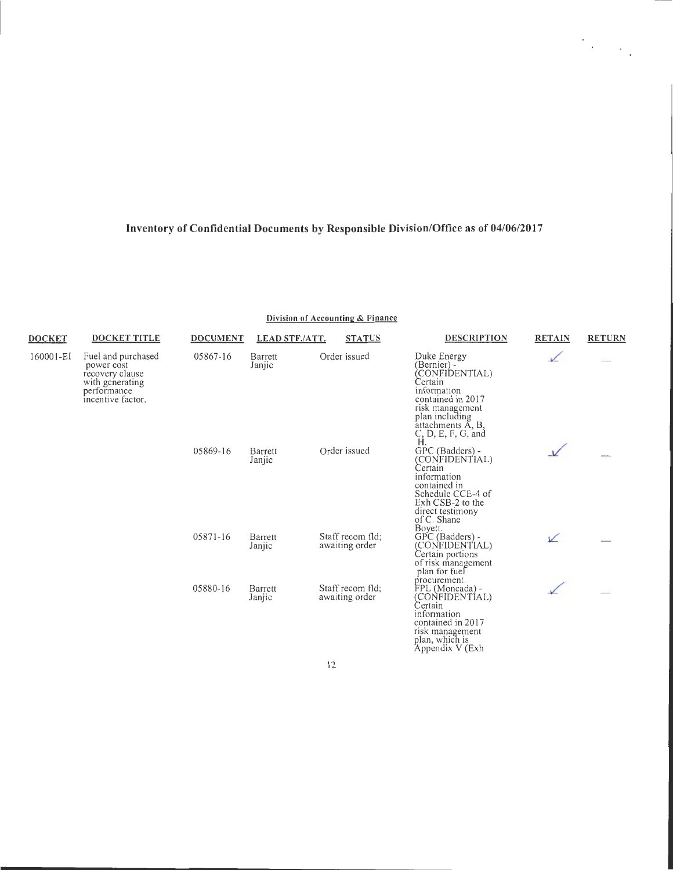| <b>DOCKET</b> | <b>DOCKET TITLE</b>                                                                                        | <b>DOCUMENT</b> | <b>LEAD STF./ATT.</b> | <b>STATUS</b>                      | <b>DESCRIPTION</b>                                                                                                                                                               | <b>RETAIN</b> | <b>RETURN</b> |
|---------------|------------------------------------------------------------------------------------------------------------|-----------------|-----------------------|------------------------------------|----------------------------------------------------------------------------------------------------------------------------------------------------------------------------------|---------------|---------------|
| 160001-EI     | Fuel and purchased<br>power cost<br>recovery clause<br>with generating<br>performance<br>incentive factor. | 05867-16        | Barrett<br>Janjic     | Order issued                       | Duke Energy<br>(Bernier) -<br>CONFIDENTIAL)<br>Certain<br>information<br>contained in 2017<br>risk management<br>plan including<br>attachments A, B,<br>C, D, E, F, G, and<br>Ĥ. | ⊻             |               |
|               |                                                                                                            | 05869-16        | Barrett<br>Janjic     | Order issued                       | GPC (Badders) -<br>(CONFIDENTIAL)<br>Certain<br>information<br>contained in<br>Schedule CCE-4 of<br>Exh CSB-2 to the<br>direct testimony<br>of C. Shane<br>Boyett.               |               |               |
|               |                                                                                                            | 05871-16        | Barrett<br>Janjic     | Staff recom fld:<br>awaiting order | GPC (Badders) -<br>(CONFIDENTIAL)<br>Certain portions<br>of risk management<br>plan for fuel<br>procurement.                                                                     | V             |               |
|               |                                                                                                            | 05880-16        | Barrett<br>Janjic     | Staff recom fld:<br>awaiting order | FPL (Moncada) -<br>(CONFIDENTIAL)<br>Certain<br>information<br>contained in 2017<br>risk management<br>plan, which is<br>Appendix V (Exh                                         |               |               |

#### **Division of Accounting & Finance**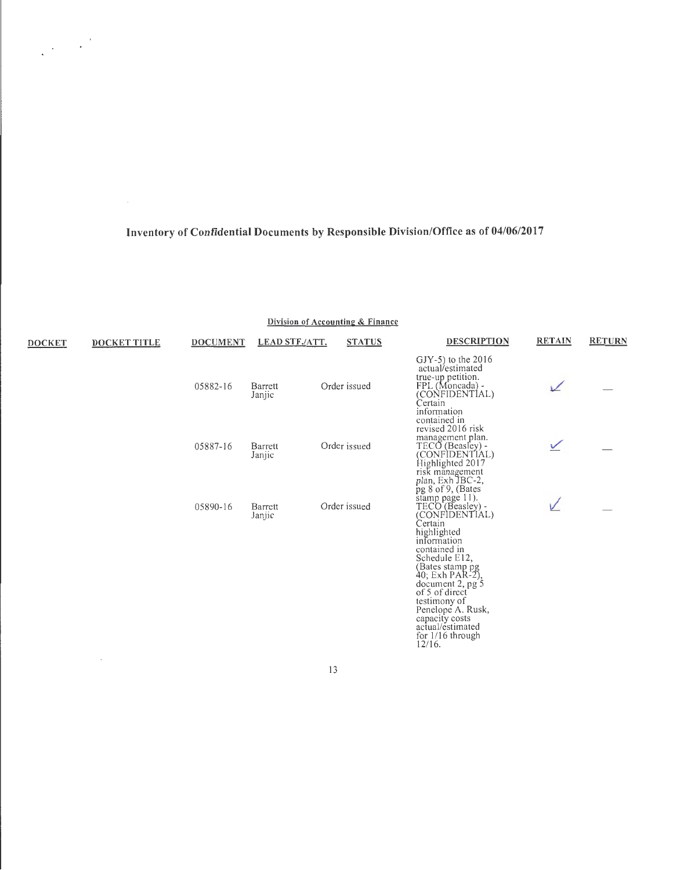$\frac{1}{2}\left(1-\frac{1}{2}\right)^{\frac{1}{2}}$ 

#### **Division of Accounting & Finance**

| <b>DOCKET</b> | <b>DOCKET TITLE</b> | <b>DOCUMENT</b> | <b>LEAD STF./ATT.</b> | <b>STATUS</b> | <b>DESCRIPTION</b>                                                                                                                 | <b>RETAIN</b> | <b>RETURN</b> |
|---------------|---------------------|-----------------|-----------------------|---------------|------------------------------------------------------------------------------------------------------------------------------------|---------------|---------------|
|               |                     | 05882-16        | Barrett<br>Janjic     | Order issued  | $(JY-5)$ to the 2016<br>actual/estimated<br>true-up petition.<br>FPL (Moncada) -<br>(CONFIDENTIAL)<br>Certain<br>information       | ↙             |               |
|               |                     | 05887-16        | Barrett<br>Janjic     | Order issued  | contained in<br>revised 2016 risk<br>management plan.<br>TECO (Beasley) -<br>(CONFIDENTIAL)<br>Highlighted 2017<br>risk management | ✓             |               |
|               |                     | 05890-16        | Barrett<br>Janjic     | Order issued  | plan, Exh JBC-2,<br>pg 8 of 9, (Bates)<br>stamp page 11).<br>TECO (Beasley) -<br>(CONFIDENTIAL)<br>Certain<br>highlighted          |               |               |
|               |                     |                 |                       |               | information<br>contained in<br>Schedule E12,<br>(Bates stamp pg<br>40; Exh PAR-2),<br>document 2, pg 5<br>of 5 of direct           |               |               |
|               |                     |                 |                       |               | testimony of<br>Penelope A. Rusk,<br>capacity costs<br>actual/estimated<br>for 1/16 through<br>12/16.                              |               |               |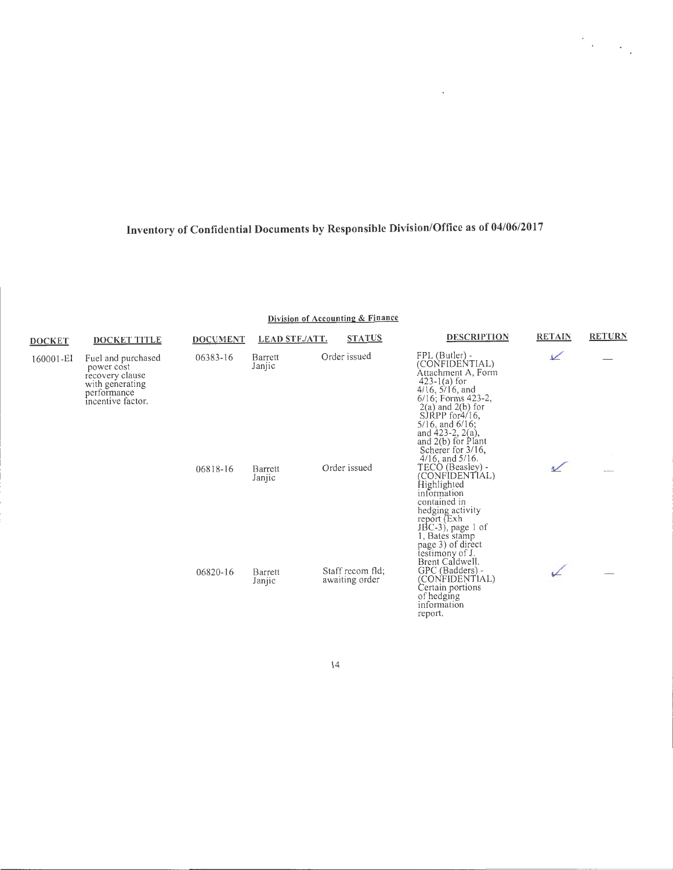**Division of Accounting & Finance** 

| <b>DOCKET</b> | <b>DOCKET TITLE</b>                                                                                        | <b>DOCUMENT</b> | <b>LEAD STF./ATT.</b> | <b>STATUS</b>                      | <b>DESCRIPTION</b>                                                                                                                                                                                                                                                                                         | <b>RETAIN</b> | <b>RETURN</b> |
|---------------|------------------------------------------------------------------------------------------------------------|-----------------|-----------------------|------------------------------------|------------------------------------------------------------------------------------------------------------------------------------------------------------------------------------------------------------------------------------------------------------------------------------------------------------|---------------|---------------|
| 160001-EI     | Fuel and purchased<br>power cost<br>recovery clause<br>with generating<br>performance<br>incentive factor. | 06383-16        | Barrett<br>Janjic     | Order issued                       | FPL (Butler) -<br>(CONFIDENTIAL)<br>Attachment A, Form<br>$423 - 1(a)$ for<br>$4/16$ , $5/16$ , and<br>6/16; Forms 423-2,<br>$2(a)$ and $2(b)$ for<br>$S$ JRPP for $\frac{4}{16}$ ,<br>$5/16$ , and $6/16$ ;<br>and $423-2$ , $2(a)$ ,<br>and 2(b) for Plant<br>Scherer for 3/16,<br>$4/16$ , and $5/16$ . | $\angle$      |               |
|               |                                                                                                            | 06818-16        | Barrett<br>Janjic     | Order issued                       | TECO (Beasley) -<br>(CONFÌDENTIAL)<br>Highlighted<br>information<br>contained in<br>hedging activity<br>report (Exh<br>$JBC-3$ , page 1 of<br>1. Bates stamp<br>page 3) of direct<br>testimony of J.                                                                                                       |               | ---           |
|               |                                                                                                            | 06820-16        | Barrett<br>Janjic     | Staff recom fld;<br>awaiting order | Brent Caldwell.<br>GPC (Badders) -<br>(CONFIDENTIAL)<br>Certain portions<br>of hedging<br>information                                                                                                                                                                                                      |               |               |

14

report.

 $\sim$ 

 $\label{eq:2} \frac{1}{2}\sum_{i=1}^n\frac{1}{2}\sum_{j=1}^n\frac{1}{2}\sum_{j=1}^n\frac{1}{2}\sum_{j=1}^n\frac{1}{2}\sum_{j=1}^n\frac{1}{2}\sum_{j=1}^n\frac{1}{2}\sum_{j=1}^n\frac{1}{2}\sum_{j=1}^n\frac{1}{2}\sum_{j=1}^n\frac{1}{2}\sum_{j=1}^n\frac{1}{2}\sum_{j=1}^n\frac{1}{2}\sum_{j=1}^n\frac{1}{2}\sum_{j=1}^n\frac{1}{2}\sum_{j=1}^n\frac{$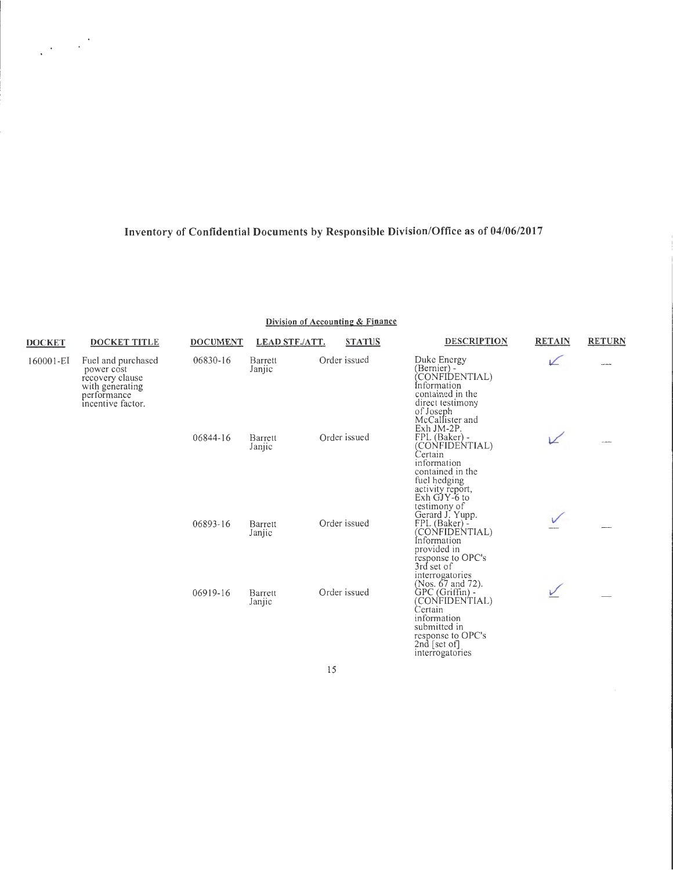$\label{eq:2} \frac{1}{2}\left(\frac{1}{2}\right)^{2}=\frac{1}{2}\left(\frac{1}{2}\right)^{2}$ 

#### Division of Accounting & Finance

| <b>DOCKET</b> | <b>DOCKET TITLE</b>                                                                                        | <b>DOCUMENT</b> | <b>LEAD STF./ATT.</b> | <b>STATUS</b> | <b>DESCRIPTION</b>                                                                                                                                                | <b>RETAIN</b> | <b>RETURN</b> |
|---------------|------------------------------------------------------------------------------------------------------------|-----------------|-----------------------|---------------|-------------------------------------------------------------------------------------------------------------------------------------------------------------------|---------------|---------------|
| 160001-EI     | Fuel and purchased<br>power cost<br>recovery clause<br>with generating<br>performance<br>incentive factor. | 06830-16        | Barrett<br>Janjic     | Order issued  | Duke Energy<br>(Bernier) -<br>(CONFIDENTIAL)<br>Information<br>contained in the<br>direct testimony<br>of Joseph<br>McCallister and                               | ↙             |               |
|               |                                                                                                            | 06844-16        | Barrett<br>Janjic     | Order issued  | Exh JM-2P.<br>FPL (Baker) -<br>(CONFIDENTIAL)<br>Certain<br>information<br>contained in the<br>fuel hedging<br>activity report,<br>$Exh$ GJY-6 to<br>testimony of | V             |               |
|               |                                                                                                            | 06893-16        | Barrett<br>Janjic     | Order issued  | Gerard J. Yupp.<br>FPL (Baker) -<br>(CONFIDENTIAL)<br>Information<br>provided in<br>response to OPC's<br>3rd set of<br>interrogatories<br>(Nos. 67 and 72).       | ✓             |               |
|               |                                                                                                            | 06919-16        | Barrett<br>Janjic     | Order issued  | GPC (Griffin) -<br>(CONFIDENTIAL)<br>Certain<br>information<br>submitted in<br>response to OPC's<br>2nd [set of]<br>interrogatories                               |               |               |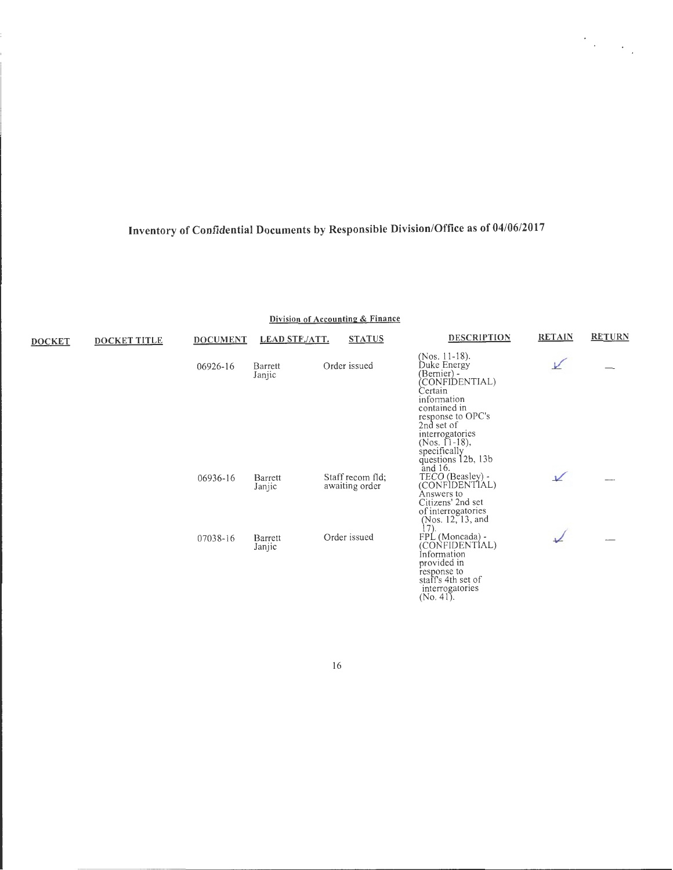$\mathcal{O}_{\mathcal{A}_1}$  ,  $\mathcal{O}_{\mathcal{A}_2}$ 

**Division of Accounting & Finance** 

| <b>DOCKET</b> | <b>DOCKET TITLE</b> | <b>DOCUMENT</b> | <b>LEAD STF./ATT.</b> | <b>STATUS</b>                      | <b>DESCRIPTION</b>                                                                                                                                                                                                    | <b>RETAIN</b> | <b>RETURN</b> |
|---------------|---------------------|-----------------|-----------------------|------------------------------------|-----------------------------------------------------------------------------------------------------------------------------------------------------------------------------------------------------------------------|---------------|---------------|
|               |                     | 06926-16        | Barrett<br>Janjic     | Order issued                       | (Nos. 11-18).<br>Duke Energy<br>(Bernier) -<br>CONFIDENTIAL)<br>Certain<br>information<br>contained in<br>response to OPC's<br>2nd set of<br>interrogatories<br>$(Nos. 11-18),$<br>specifically<br>questions 12b, 13b | V             |               |
|               |                     | 06936-16        | Barrett<br>Janjic     | Staff recom fld;<br>awaiting order | and 16.<br>TECO (Beasley) -<br>(CONFIDENTIAL)<br>Answers to<br>Citizens' 2nd set<br>of interrogatories<br>(Nos. 12, 13, and                                                                                           | $\sqrt{ }$    |               |
|               |                     | 07038-16        | Barrett<br>Janjic     | Order issued                       | 17 <sub>1</sub><br>FPL (Moncada) -<br>(CONFIDENTIAL)<br>Information<br>provided in<br>response to<br>staff's 4th set of<br>interrogatories<br>$(No. 41)$ .                                                            |               |               |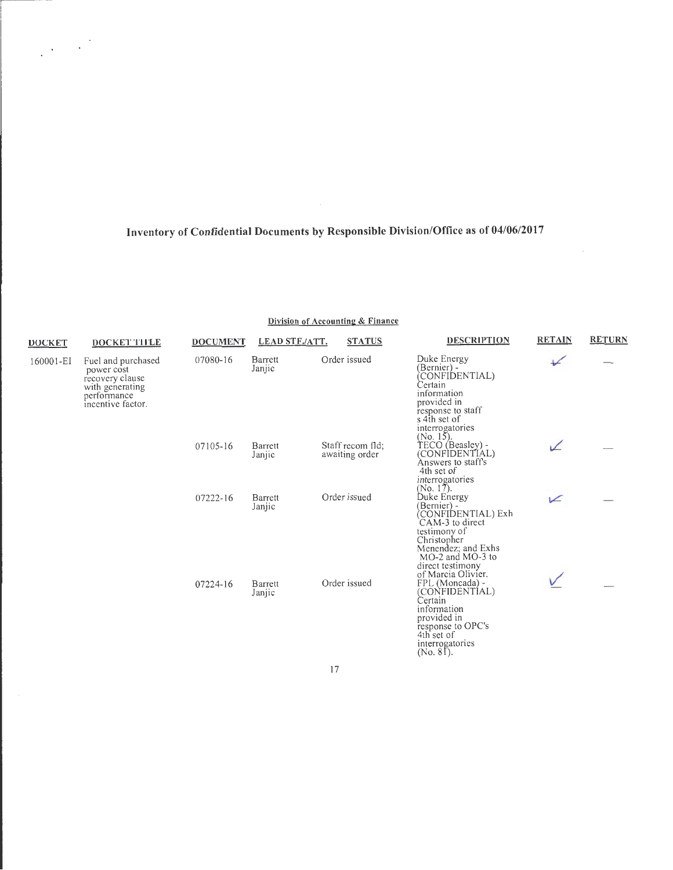$\label{eq:2} \frac{1}{2}\sum_{i=1}^n\frac{1}{2}\sum_{j=1}^n\frac{1}{2}\sum_{j=1}^n\frac{1}{2}\sum_{j=1}^n\frac{1}{2}\sum_{j=1}^n\frac{1}{2}\sum_{j=1}^n\frac{1}{2}\sum_{j=1}^n\frac{1}{2}\sum_{j=1}^n\frac{1}{2}\sum_{j=1}^n\frac{1}{2}\sum_{j=1}^n\frac{1}{2}\sum_{j=1}^n\frac{1}{2}\sum_{j=1}^n\frac{1}{2}\sum_{j=1}^n\frac{1}{2}\sum_{j=1}^n\frac{$ 

**Division of Accounting & Finance** 

| <b>DOCKET</b> | DOCKET TITLE                                                                                               | <b>DOCUMENT</b> | <b>LEAD STF./ATT.</b> | <b>STATUS</b>                      | <b>DESCRIPTION</b>                                                                                                                                                                     | <b>RETAIN</b> | <b>RETURN</b> |
|---------------|------------------------------------------------------------------------------------------------------------|-----------------|-----------------------|------------------------------------|----------------------------------------------------------------------------------------------------------------------------------------------------------------------------------------|---------------|---------------|
| 160001-EI     | Fuel and purchased<br>power cost<br>recovery clause<br>with generating<br>performance<br>incentive factor. | 07080-16        | Barrett<br>Janjic     | Order issued                       | Duke Energy<br>(Bernier) -<br>CONFIDENTIAL)<br>Certain<br>information<br>provided in<br>response to staff<br>s 4th set of<br>interrogatories<br>$(No. 15)$ .                           | $\sqrt{}$     |               |
|               |                                                                                                            | 07105-16        | Barrett<br>Janjic     | Staff recom fld;<br>awaiting order | TECO (Beasley) -<br>(CONFIDENTIAL)<br>Answers to staff's<br>4th set of<br>interrogatories<br>(No. 17).                                                                                 | ↙             |               |
|               |                                                                                                            | 07222-16        | Barrett<br>Janjic     | Order issued                       | Duke Energy<br>(Bernier) -<br>(CONFIDENTIAL) Exh<br>CAM-3 to direct<br>testimony of<br>Christopher<br>Menendez; and Exhs<br>MO-2 and MO-3 to<br>direct testimony<br>of Marcia Olivier. | V             |               |
|               |                                                                                                            | 07224-16        | Barrett<br>Janjic     | Order issued                       | FPL (Moncada) -<br>(CONFIDENTIAL)<br>Certain<br>information<br>provided in<br>response to OPC's<br>4th set of<br>interrogatories<br>$(No. 8T)$ .                                       |               |               |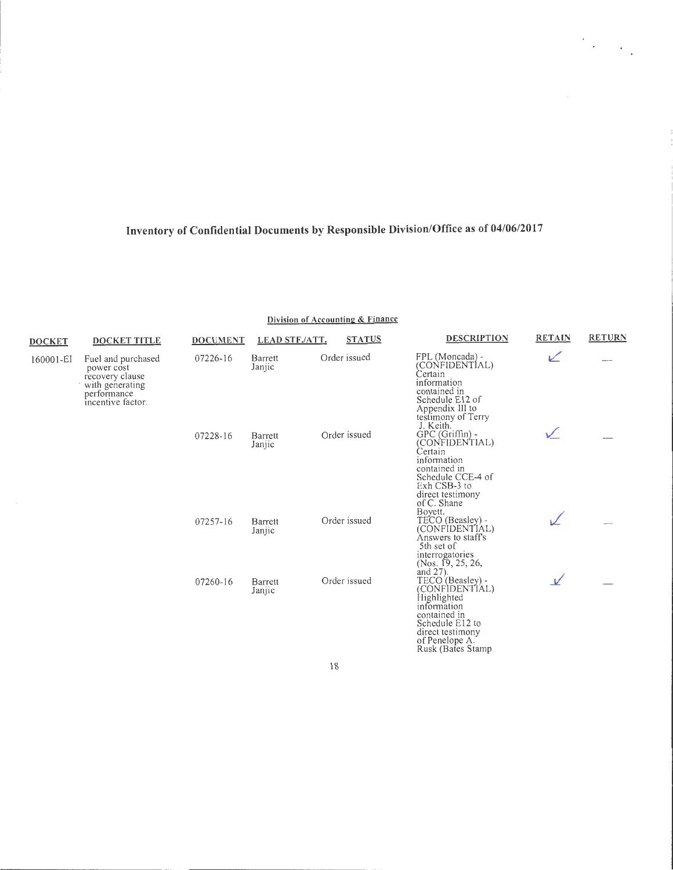$\frac{1}{2} \sum_{i=1}^{n} \frac{1}{2} \sum_{j=1}^{n} \frac{1}{2} \sum_{j=1}^{n} \frac{1}{2} \sum_{j=1}^{n} \frac{1}{2} \sum_{j=1}^{n} \frac{1}{2} \sum_{j=1}^{n} \frac{1}{2} \sum_{j=1}^{n} \frac{1}{2} \sum_{j=1}^{n} \frac{1}{2} \sum_{j=1}^{n} \frac{1}{2} \sum_{j=1}^{n} \frac{1}{2} \sum_{j=1}^{n} \frac{1}{2} \sum_{j=1}^{n} \frac{1}{2} \sum_{j=1}^{n$ 

| <b>DOCKET</b>                                                                                     | <b>DOCKET TITLE</b> | <b>DOCUMENT</b> | <b>LEAD STF./ATT.</b>    | <b>STATUS</b> | <b>DESCRIPTION</b>                                                                                                                                                          | <b>RETAIN</b> | <b>RETURN</b> |
|---------------------------------------------------------------------------------------------------|---------------------|-----------------|--------------------------|---------------|-----------------------------------------------------------------------------------------------------------------------------------------------------------------------------|---------------|---------------|
| 160001-EI<br>power cost<br>recovery clause<br>with generating<br>performance<br>incentive factor. | Fuel and purchased  | 07226-16        | <b>Barrett</b><br>Janjic | Order issued  | FPL (Moncada) -<br>(CONFIDENTIAL)<br>Certain<br>information<br>contained in<br>Schedule E12 of<br>Appendix III to<br>testimony of Terry                                     |               |               |
|                                                                                                   |                     | 07228-16        | Barrett<br>Janjic        | Order issued  | J. Keith.<br>GPC (Griffin) -<br>(CONFIDENTIAL)<br>Certain<br>information<br>contained in<br>Schedule CCE-4 of<br>Exh CSB-3 to<br>direct testimony<br>of C. Shane            |               |               |
|                                                                                                   |                     | 07257-16        | <b>Barrett</b><br>Janjic | Order issued  | Bovett.<br>TECO (Beasley) -<br>(CONFIDENTIAL)<br>Answers to staff's<br>5th set of<br>interrogatories<br>(Nos. 19, 25, 26,                                                   |               |               |
|                                                                                                   |                     | 07260-16        | Barrett<br>Janjic        | Order issued  | and 27).<br>TECO (Beasley) -<br>(CONFIDENTIAL)<br>Highlighted<br>information<br>contained in<br>Schedule E12 to<br>direct testimony<br>of Penelope A.<br>Rusk (Bates Stamp) | $\vee$        |               |

Division of Accounting & Finance

 $18\,$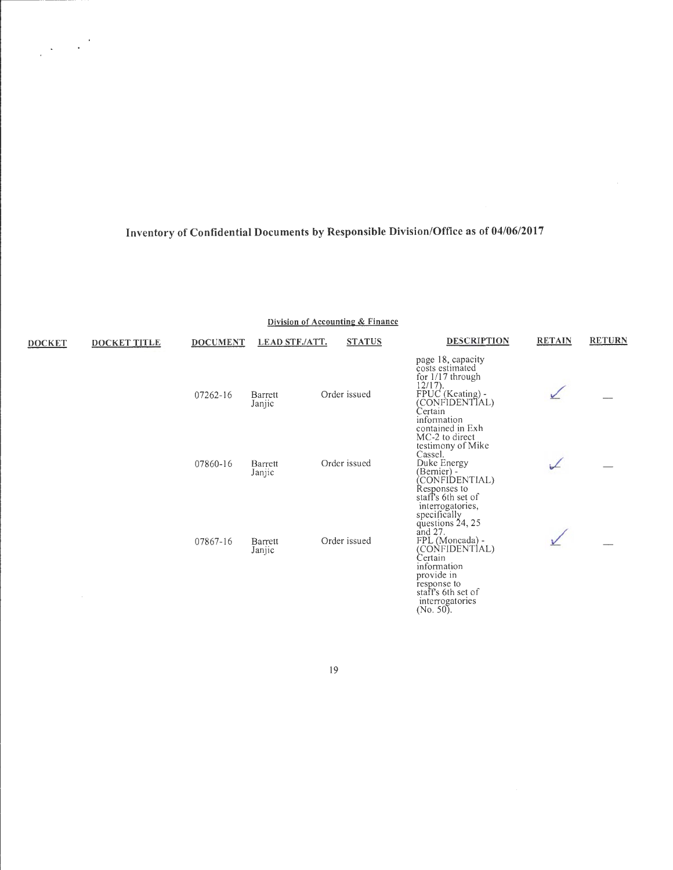**Division of Accounting & Finance** 

| <b>DOCKET</b> | <b>DOCKET TITLE</b> | <b>DOCUMENT</b> | <b>LEAD STF./ATT.</b> | <b>STATUS</b> | <b>DESCRIPTION</b>                                                                                                                                                                                                      | <b>RETAIN</b> | <b>RETURN</b> |
|---------------|---------------------|-----------------|-----------------------|---------------|-------------------------------------------------------------------------------------------------------------------------------------------------------------------------------------------------------------------------|---------------|---------------|
|               |                     | 07262-16        | Barrett<br>Janjic     | Order issued  | page 18, capacity<br>costs estimated<br>for 1/17 through<br>$12/17$ ).<br>FPUC (Keating) -<br>CONFIDENTIAL)<br>Certain<br>information<br>contained in Exh                                                               |               |               |
|               |                     | 07860-16        | Barrett<br>Janjic     | Order issued  | MC-2 to direct<br>testimony of Mike<br>Cassel.<br>Duke Energy<br>(Bernier) -<br>CONFIDENTIAL)<br>Responses to<br>staff's 6th set of                                                                                     |               |               |
|               |                     | 07867-16        | Barrett<br>Janjic     | Order issued  | interrogatories,<br>specifically<br>questions 24, 25<br>and $27$ .<br>FPL (Moncada) -<br>(CONFIDENTIAL)<br>Certain<br>information<br>provide in<br>response to<br>staff's 6th set of<br>interrogatories<br>$(No. 50)$ . |               |               |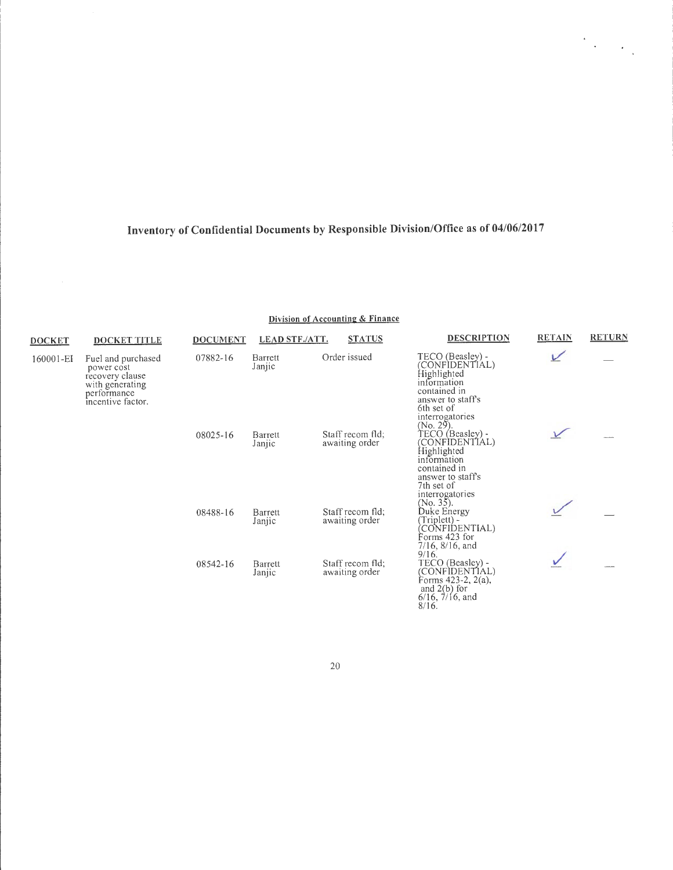$\label{eq:2} \frac{1}{\sqrt{2}}\sum_{i=1}^N\frac{1}{\sqrt{2}}\sum_{i=1}^N\frac{1}{\sqrt{2}}\sum_{i=1}^N\frac{1}{\sqrt{2}}\sum_{i=1}^N\frac{1}{\sqrt{2}}\sum_{i=1}^N\frac{1}{\sqrt{2}}\sum_{i=1}^N\frac{1}{\sqrt{2}}\sum_{i=1}^N\frac{1}{\sqrt{2}}\sum_{i=1}^N\frac{1}{\sqrt{2}}\sum_{i=1}^N\frac{1}{\sqrt{2}}\sum_{i=1}^N\frac{1}{\sqrt{2}}\sum_{i=1}^N\frac{1$ 

**Division of Accounting & Finance** 

| <b>DOCKET</b> | <b>DOCKET TITLE</b>                                                                                        | <b>DOCUMENT</b> | <b>LEAD STF./ATT.</b>    | <b>STATUS</b>                      | <b>DESCRIPTION</b>                                                                                                                     | <b>RETAIN</b> | <b>RETURN</b> |
|---------------|------------------------------------------------------------------------------------------------------------|-----------------|--------------------------|------------------------------------|----------------------------------------------------------------------------------------------------------------------------------------|---------------|---------------|
| 160001-EI     | Fuel and purchased<br>power cost<br>recovery clause<br>with generating<br>performance<br>incentive factor. | 07882-16        | Barrett<br>Janjic        | Order issued                       | TECO (Beasley) -<br>(CONFIDENTIAL)<br>Highlighted<br>information<br>contained in<br>answer to staff's<br>6th set of<br>interrogatories | V             |               |
|               |                                                                                                            | 08025-16        | Barrett<br>Janjic        | Staff recom fld;<br>awaiting order | $(No. 29)$ .<br>TECO (Beasley) -<br>(CONFIDENTIAL)<br>Highlighted<br>information<br>contained in<br>answer to staff's<br>7th set of    |               |               |
|               |                                                                                                            | 08488-16        | <b>Barrett</b><br>Janjic | Staff recom fld;<br>awaiting order | interrogatories<br>$(No. 35)$ .<br>Duke Energy<br>$(Triplet) -$<br>CONFIDENTIAL)<br>Forms 423 for<br>$7/16$ , $8/16$ , and             |               |               |
|               |                                                                                                            | 08542-16        | Barrett<br>Janjic        | Staff recom fld:<br>awaiting order | 9/16.<br>TECO (Beasley) -<br>(CONFIDENTIAL)<br>Forms $423-2$ , $2(a)$ ,<br>and $2(b)$ for<br>$6/16$ , $7/16$ , and<br>$8/16$ .         |               |               |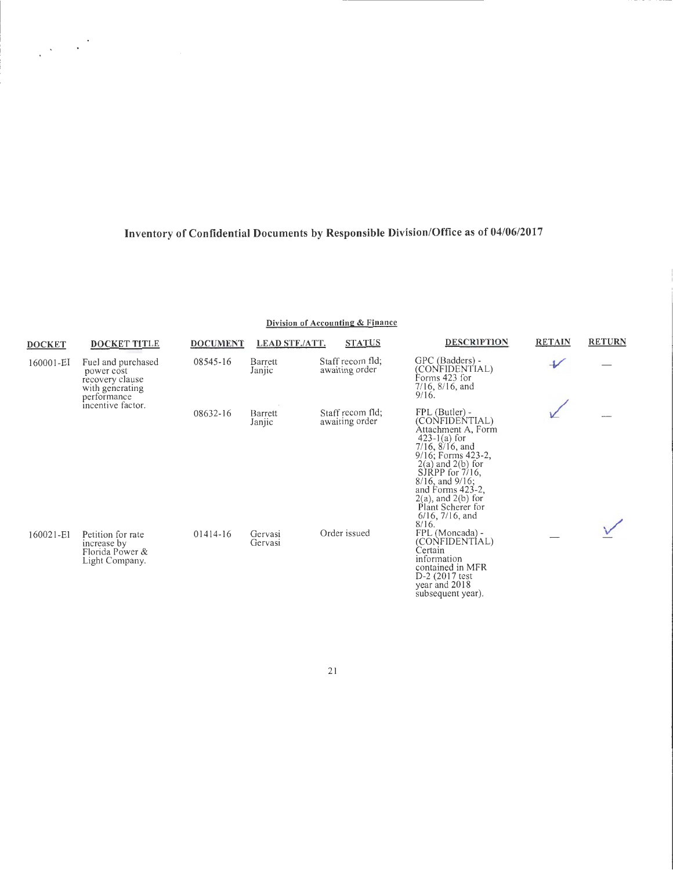$\label{eq:2.1} \frac{1}{\sqrt{2\pi}}\left(\frac{1}{\sqrt{2\pi}}\right)^{1/2}$ 

#### **Division of Accounting & Finance**

| <b>DOCKET</b> | <b>DOCKET TITLE</b>                                                                   | <b>DOCUMENT</b> | <b>LEAD STF./ATT.</b> | <b>STATUS</b>                      | <b>DESCRIPTION</b>                                                                                                                                                                                                                                                                                    | <b>RETAIN</b>    | <b>RETURN</b> |
|---------------|---------------------------------------------------------------------------------------|-----------------|-----------------------|------------------------------------|-------------------------------------------------------------------------------------------------------------------------------------------------------------------------------------------------------------------------------------------------------------------------------------------------------|------------------|---------------|
| 160001-EI     | Fuel and purchased<br>power cost<br>recovery clause<br>with generating<br>performance | 08545-16        | Barrett<br>Janjic     | Staff recom fld;<br>awaiting order | GPC (Badders) -<br>(CONFIDENTIAL)<br>Forms 423 for<br>$7/16$ , $8/16$ , and<br>9/16.                                                                                                                                                                                                                  | $\overline{\nu}$ |               |
|               | incentive factor.                                                                     | 08632-16        | Barrett<br>Janjic     | Staff recom fld;<br>awaiting order | FPL (Butler) -<br>(CONFIDENTIAL)<br>Attachment A, Form<br>$423-1(a)$ for<br>$7/16$ , $8/16$ , and<br>9/16; Forms 423-2,<br>$2(a)$ and $2(b)$ for<br>SJRPP for $7/16$ ,<br>$8/16$ , and $9/16$ ;<br>and Forms 423-2,<br>$2(a)$ , and $2(b)$ for<br>Plant Scherer for<br>$6/16$ , $7/16$ , and<br>8/16. |                  |               |
| 160021-E1     | Petition for rate<br>increase by<br>Florida Power &<br>Light Company.                 | $01414 - 16$    | Gervasi<br>Gervasi    | Order issued                       | FPL (Moncada) -<br>(CONFIDENTIAL)<br>Certain<br>information<br>contained in MFR<br>D-2 (2017 test<br>year and 2018<br>subsequent year).                                                                                                                                                               |                  |               |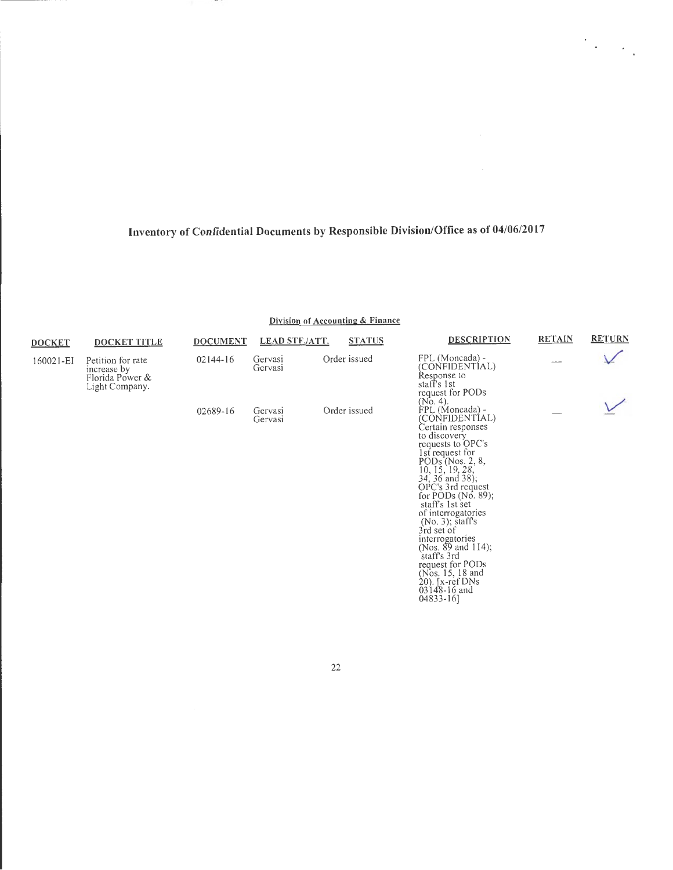$\frac{1}{2} \sum_{i=1}^{n} \frac{1}{2} \sum_{j=1}^{n} \frac{1}{2} \sum_{j=1}^{n} \frac{1}{2} \sum_{j=1}^{n} \frac{1}{2} \sum_{j=1}^{n} \frac{1}{2} \sum_{j=1}^{n} \frac{1}{2} \sum_{j=1}^{n} \frac{1}{2} \sum_{j=1}^{n} \frac{1}{2} \sum_{j=1}^{n} \frac{1}{2} \sum_{j=1}^{n} \frac{1}{2} \sum_{j=1}^{n} \frac{1}{2} \sum_{j=1}^{n} \frac{1}{2} \sum_{j=1}^{n$ 

#### **Division of Accounting & Finance**

| <b>DOCKET</b> | <b>DOCKET TITLE</b>                                                   | <b>DOCUMENT</b> | <b>LEAD STF./ATT.</b> | <b>STATUS</b> | <b>DESCRIPTION</b>                                                                                                                                                                                                                                                                                                                                                                                                                                                                      | <b>RETAIN</b> | <b>RETURN</b> |
|---------------|-----------------------------------------------------------------------|-----------------|-----------------------|---------------|-----------------------------------------------------------------------------------------------------------------------------------------------------------------------------------------------------------------------------------------------------------------------------------------------------------------------------------------------------------------------------------------------------------------------------------------------------------------------------------------|---------------|---------------|
| 160021-EI     | Petition for rate<br>increase by<br>Florida Power &<br>Light Company. | $02144 - 16$    | Gervasi<br>Gervasi    | Order issued  | FPL (Moncada) -<br>(CONFIDENTIAL)<br>Response to<br>staff's 1st<br>request for PODs                                                                                                                                                                                                                                                                                                                                                                                                     |               |               |
|               |                                                                       | 02689-16        | Gervasi<br>Gervasi    | Order issued  | $(No. 4)$ .<br>FPL (Moncada) -<br>(CONFIDENTIAL)<br>Certain responses<br>to discovery<br>requests to OPC's<br>1st request for<br>$PODs$ (Nos. 2, 8,<br>10, 15, 19, 28,<br>34, 36 and 38);<br>OPC's 3rd request<br>for PODs $(No. 89)$ ;<br>staff's 1st set<br>of interrogatories<br>$(No. 3)$ ; staff's<br>3rd set of<br>interrogatories<br>(Nos. $89$ and 114);<br>staff's 3rd<br>request for PODs<br>(Nos. 15, 18 and<br>$20$ ). [ $x$ -ref DNs<br>$03148 - 16$ and<br>$04833 - 16$ ] |               |               |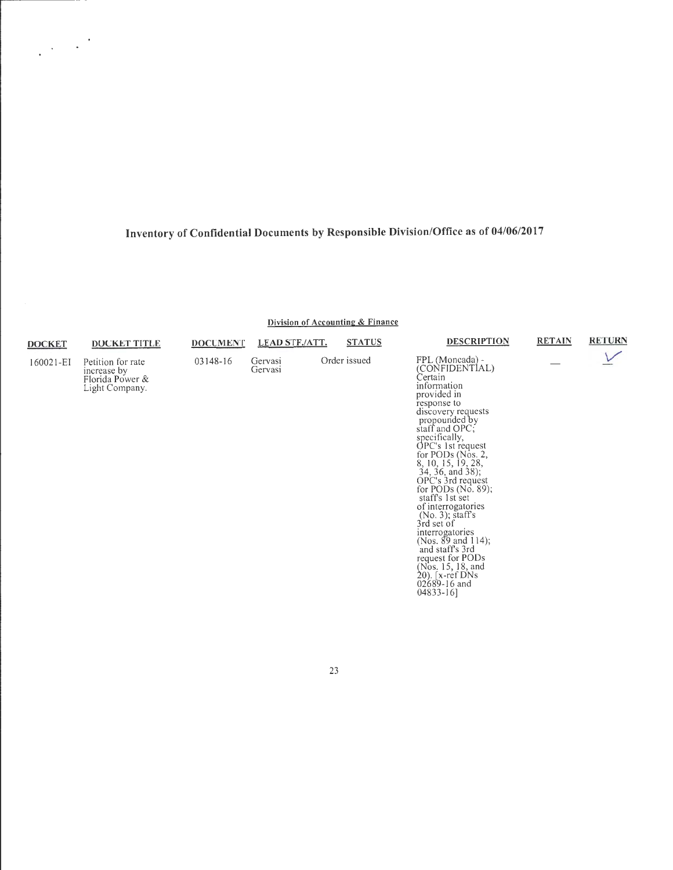$\label{eq:2} \frac{1}{2}\left(\frac{1}{2}\right)^{2} \left(\frac{1}{2}\right)^{2}$ 

**Division of Accounting & Finance** 

| DOCKET    | <b>DOCKET TITLE</b>                                                   | <b>DOCUMENT</b> | <b>LEAD STF./ATT.</b> | <b>STATUS</b> | <b>DESCRIPTION</b>                                                                                                                                                                                                                                                                                                                                                                                                                                                                                                                                     | <b>RETAIN</b> | <b>RETURN</b> |
|-----------|-----------------------------------------------------------------------|-----------------|-----------------------|---------------|--------------------------------------------------------------------------------------------------------------------------------------------------------------------------------------------------------------------------------------------------------------------------------------------------------------------------------------------------------------------------------------------------------------------------------------------------------------------------------------------------------------------------------------------------------|---------------|---------------|
| 160021-EI | Petition for rate<br>increase by<br>Florida Power &<br>Light Company. | 03148-16        | Gervasi<br>Gervasi    | Order issued  | FPL (Moncada) -<br>(CONFIDENTIAL)<br>Certain<br>information<br>provided in<br>response to<br>discovery requests<br>propounded by<br>staff and OPC;<br>specifically,<br>OPC's 1st request<br>for PODs (Nos. 2,<br>8, 10, 15, 19, 28,<br>$34, 36,$ and $38$ );<br>OPC's 3rd request<br>for PODs $(No, 89)$ ;<br>staff's 1st set<br>of interrogatories<br>$(No. 3)$ ; staff's<br>3rd set of<br>interrogatories<br>(Nos. $89$ and 114);<br>and staff's 3rd<br>request for PODs<br>(Nos. 15, 18, and<br>$20$ ). [x-ref DNs<br>$02689 - 16$ and<br>04833-16] |               |               |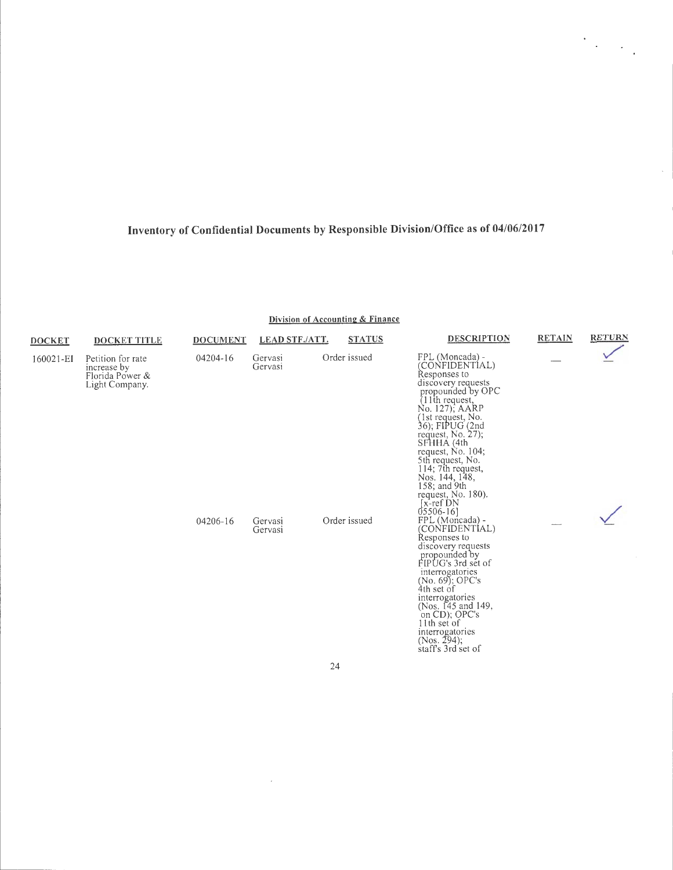$\frac{1}{2} \sum_{i=1}^{n} \frac{1}{2} \sum_{j=1}^{n} \frac{1}{2} \sum_{j=1}^{n} \frac{1}{2} \sum_{j=1}^{n} \frac{1}{2} \sum_{j=1}^{n} \frac{1}{2} \sum_{j=1}^{n} \frac{1}{2} \sum_{j=1}^{n} \frac{1}{2} \sum_{j=1}^{n} \frac{1}{2} \sum_{j=1}^{n} \frac{1}{2} \sum_{j=1}^{n} \frac{1}{2} \sum_{j=1}^{n} \frac{1}{2} \sum_{j=1}^{n} \frac{1}{2} \sum_{j=1}^{n$ 

**Division of Accounting & Finance** 

| <b>DOCKET</b> | <b>DOCKET TITLE</b>                                                   | <b>DOCUMENT</b> | <b>LEAD STF./ATT.</b> | <b>STATUS</b> | <b>DESCRIPTION</b>                                                                                                                                                                                                                                                                                                                                                     | <b>RETAIN</b> | <b>RETURN</b> |
|---------------|-----------------------------------------------------------------------|-----------------|-----------------------|---------------|------------------------------------------------------------------------------------------------------------------------------------------------------------------------------------------------------------------------------------------------------------------------------------------------------------------------------------------------------------------------|---------------|---------------|
| 160021-EI     | Petition for rate<br>increase by<br>Florida Power &<br>Light Company. |                 | Gervasi<br>Gervasi    | Order issued  | FPL (Moncada) -<br>(CONFIDENTIAL)<br>Responses to<br>discovery requests<br>propounded by OPC<br>$(11$ th request,<br>No. 127); AARP<br>(1st request, No.<br>36); FIPUG (2nd<br>request, No. 27);<br>SFHHA (4th<br>request, No. $104$ ;<br>5th request, No.<br>114; 7th request,<br>Nos. 144, 148,<br>158; and 9th<br>request, No. 180).<br>$[x-ref$ DN<br>$05506 - 16$ |               |               |
|               |                                                                       | 04206-16        | Gervasi<br>Gervasi    | Order issued  | FPL (Moncada) -<br>(CONFIDENTIAL)<br>Responses to<br>discovery requests<br>propounded by<br>FIPUG's 3rd set of<br>interrogatories<br>$(No. 69)$ ; OPC's<br>4th set of<br>interrogatories<br>(Nos. 145 and 149,<br>on CD); OPC's<br>11th set of<br>interrogatories<br>$(Nos. 294)$ ;<br>staff's 3rd set of                                                              |               |               |

24

 $\sim 10^{-1}$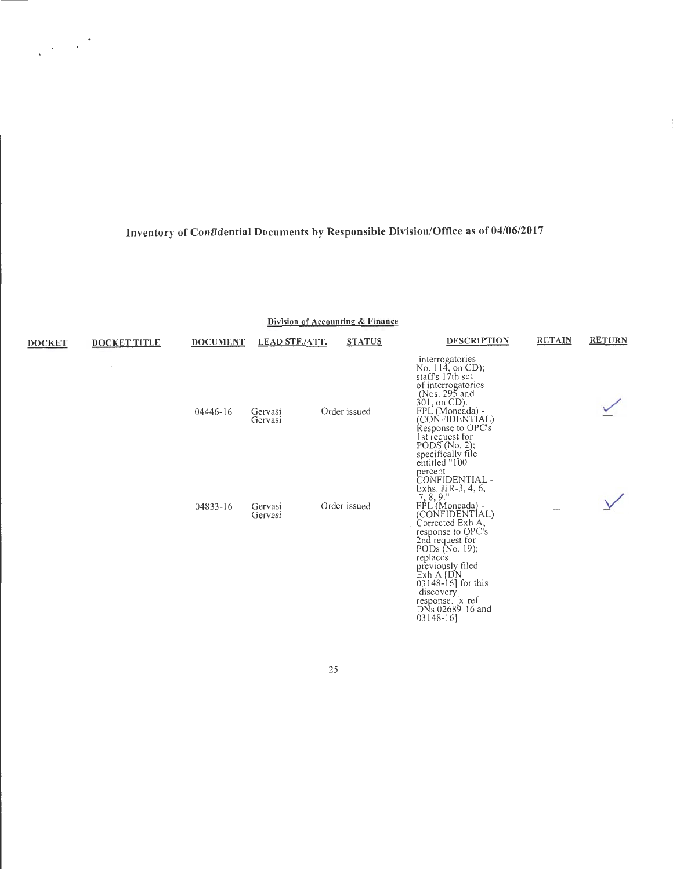$\label{eq:2} \frac{1}{\sqrt{2}}\left(\frac{1}{\sqrt{2}}\right)^{2} \frac{1}{\sqrt{2}}\left(\frac{1}{\sqrt{2}}\right)^{2}$ 

 $\frac{1}{\sqrt{2}}$ 

**Division of Accounting & Finance** 

| <b>DOCKET</b> | <b>DOCKET TITLE</b> | <b>DOCUMENT</b> | <b>LEAD STF./ATT.</b> | <b>STATUS</b> | <b>DESCRIPTION</b>                                                                                                                                                                                                                                                                                                          | <b>RETAIN</b> | <b>RETURN</b> |
|---------------|---------------------|-----------------|-----------------------|---------------|-----------------------------------------------------------------------------------------------------------------------------------------------------------------------------------------------------------------------------------------------------------------------------------------------------------------------------|---------------|---------------|
|               |                     | 04446-16        | Gervasi<br>Gervasi    | Order issued  | interrogatories<br>No. $114$ , on CD);<br>staff's 17th set<br>of interrogatories<br>(Nos. 295 and<br>301, on CD).<br>FPL (Moncada) -<br>(CONFIDENTIAL)<br>Response to OPC's<br>1st request for<br>PODS(No. 2);<br>specifically file<br>entitled "100                                                                        |               |               |
|               |                     | 04833-16        | Gervasi<br>Gervasi    | Order issued  | percent<br>CONFIDENTIAL -<br>Exhs. JJR-3, 4, 6, 7, 8, 9."<br>FPL (Moncada) -<br>(CONFIDENTIAL)<br>Corrected Exh A,<br>response to OPC's<br>2nd request for<br>PODs (No. 19);<br>replaces<br>previously filed<br>$Exh A$ (DN<br>$03148 - 16$ ] for this<br>discovery<br>response. [x-ref<br>DNs 02689-16 and<br>$03148 - 16$ |               |               |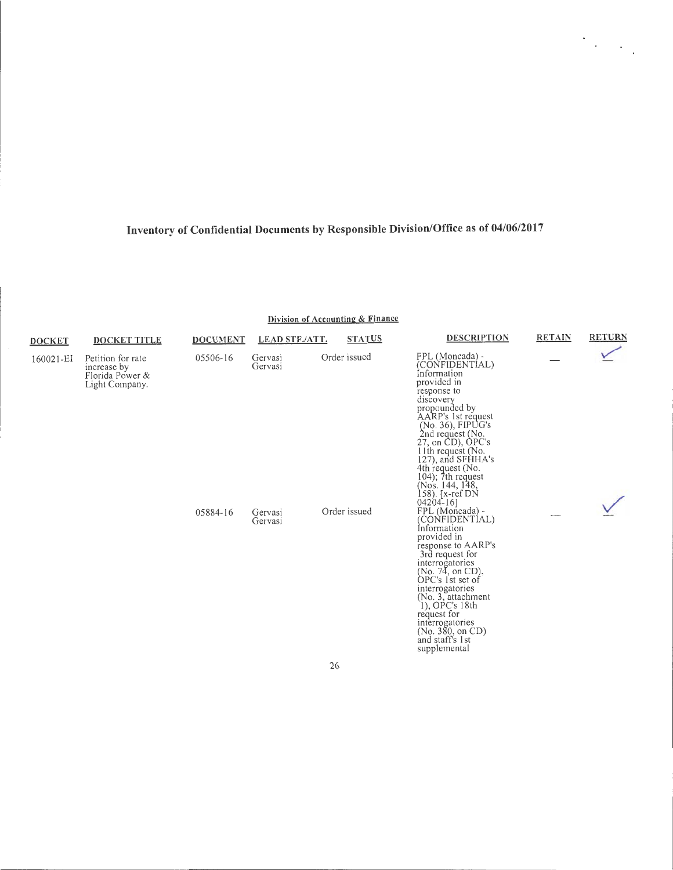$\mathcal{O}(\mathcal{E}_{\mathcal{A}})$ 

**Division of Accounting & Finance** 

| <b>DOCKET</b> | <b>DOCKET TITLE</b>                                                   | <b>DOCUMENT</b> | <b>LEAD STF./ATT.</b> | <b>STATUS</b> | <b>DESCRIPTION</b>                                                                                                                                                                                                                                                                                                                                   | <b>RETAIN</b> | <b>RETURN</b> |
|---------------|-----------------------------------------------------------------------|-----------------|-----------------------|---------------|------------------------------------------------------------------------------------------------------------------------------------------------------------------------------------------------------------------------------------------------------------------------------------------------------------------------------------------------------|---------------|---------------|
| 160021-EI     | Petition for rate<br>increase by<br>Florida Power &<br>Light Company. | 05506-16        | Gervasi<br>Gervasi    | Order issued  | FPL (Moncada) -<br>(CONFIDENTIAL)<br>Information<br>provided in<br>response to<br>discovery<br>propounded by<br>AARP's 1st request<br>(No. 36), FIPUG's<br>2nd request (No.<br>27, on CD), OPC's<br>$11th$ request (No.<br>127), and SFHHA's<br>4th request (No.<br>$104$ ; $7th$ request<br>(Nos. 144, 148,<br>158). $[x-ref DN]$<br>$04204 - 16$ ] |               |               |
|               |                                                                       | 05884-16        | Gervasi<br>Gervasi    | Order issued  | FPL (Moncada) -<br>(CONFIDENTIAL)<br>Information<br>provided in<br>response to AARP's<br>3rd request for<br>interrogatories<br>(No. 74, on CD),<br>OPC's 1st set of<br>interrogatories<br>(No. 3, attachment<br>1), OPC's 18th<br>request for<br>interrogatories<br>(No. 380, on CD)<br>and staff's 1st<br>supplemental                              |               |               |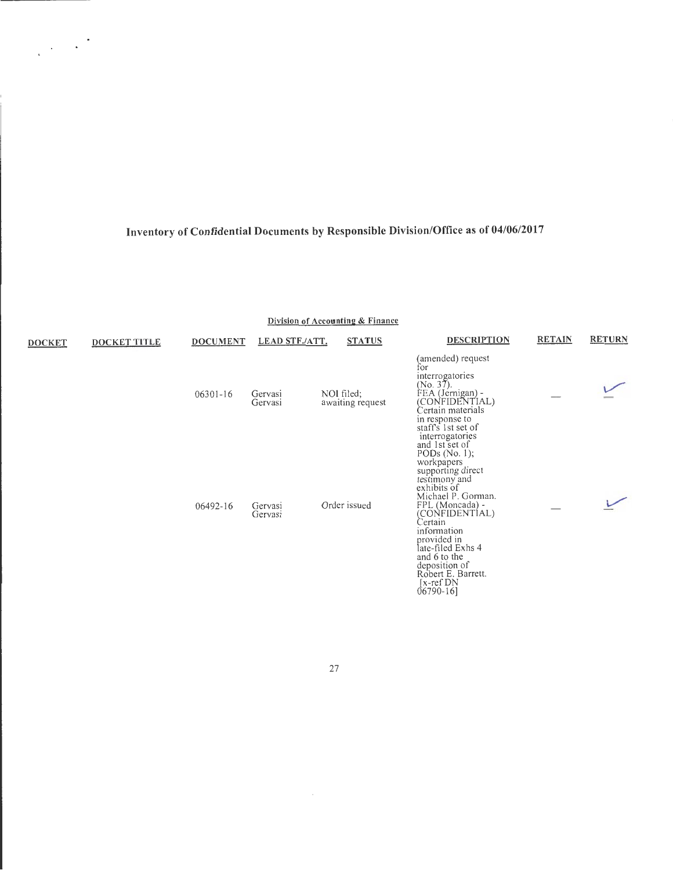$\frac{1}{2} \frac{1}{2} \frac{1}{2} \frac{1}{2} \frac{1}{2} \frac{1}{2}$ 

**Division of Accounting & Finance** 

| <b>DOCKET</b> | DOCKET TITLE | <b>DOCUMENT</b> | <b>LEAD STF./ATT.</b> | <b>STATUS</b>                  | <b>DESCRIPTION</b>                                                                                                                                                                                                                                                                                                  | <b>RETAIN</b> | <b>RETURN</b> |
|---------------|--------------|-----------------|-----------------------|--------------------------------|---------------------------------------------------------------------------------------------------------------------------------------------------------------------------------------------------------------------------------------------------------------------------------------------------------------------|---------------|---------------|
|               |              | $06301 - 16$    | Gervasi<br>Gervasi    | NOI filed;<br>awaiting request | (amended) request<br>for<br>interrogatories<br>(No. 37).<br>FEA (Jernigan) -<br>(CONFIDENTIAL)<br>Certain materials<br>in response to<br>staff's 1st set of<br>interrogatories                                                                                                                                      |               |               |
|               |              | 06492-16        | Gervasi<br>Gervasi    | Order issued                   | and 1st set of<br>PODs $(No. 1);$<br>workpapers<br>supporting direct<br>testimony and<br>exhibits of<br>Michael P. Gorman.<br>FPL (Moncada) -<br>(CONFIDENTÍAL)<br>Certain<br>information<br>provided in<br>late-filed Exhs 4<br>and 6 to the<br>deposition of<br>Robert E. Barrett.<br>[x-ref DN<br>$06790 - 16$ ] |               |               |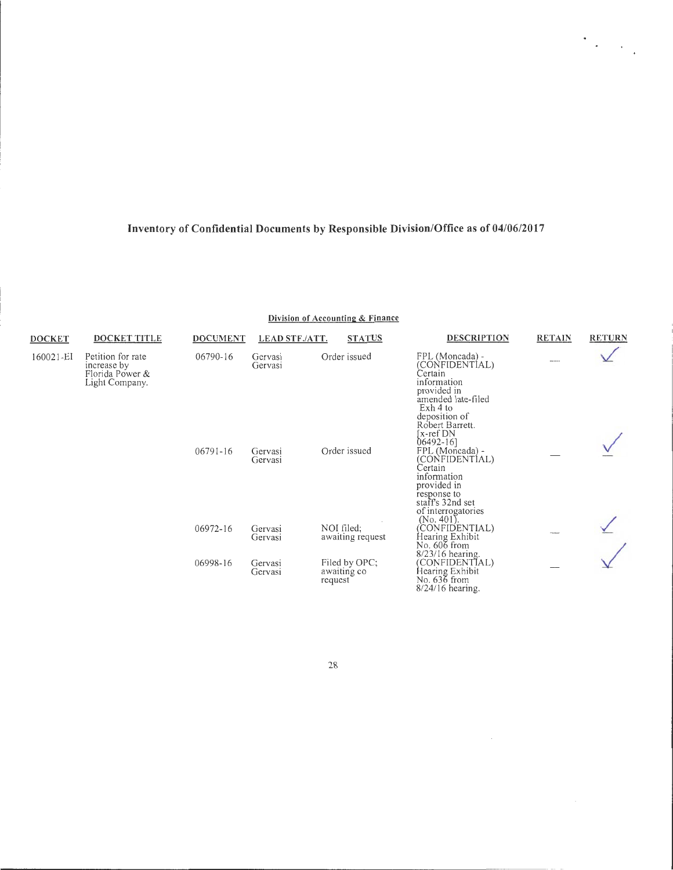$\mathcal{O}(\mathcal{E}_{\mathcal{A}})$ 

|  | Division of Accounting & Finance |  |
|--|----------------------------------|--|
|--|----------------------------------|--|

| <b>DOCKET</b> | DOCKET TITLE                                                          | <b>DOCUMENT</b> | <b>LEAD STF./ATT.</b> | <b>STATUS</b>                           | <b>DESCRIPTION</b>                                                                                                                                                               | <b>RETAIN</b> | <b>RETURN</b> |
|---------------|-----------------------------------------------------------------------|-----------------|-----------------------|-----------------------------------------|----------------------------------------------------------------------------------------------------------------------------------------------------------------------------------|---------------|---------------|
| 160021-EI     | Petition for rate<br>increase by<br>Florida Power &<br>Light Company. | 06790-16        | Gervasi<br>Gervasi    | Order issued                            | FPL (Moncada) -<br>(CONFIDENTIAL)<br>Certain<br>information<br>provided in<br>amended late-filed<br>Exh 4 to                                                                     |               |               |
|               |                                                                       | $06791 - 16$    | Gervasi<br>Gervasi    | Order issued                            | deposition of<br>Robert Barrett.<br>[x-ref DN<br>$06492 - 16$ ]<br>FPL (Moncada) -<br>(CONFIDENTIAL)<br>Certain<br>information<br>provided in<br>response to<br>staff's 32nd set |               |               |
|               |                                                                       | 06972-16        | Gervasi<br>Gervasi    | NOI filed:<br>awaiting request          | of interrogatories<br>$(No. 401)$ .<br>(CONFIDENTIAL)<br>Hearing Exhibit<br>No. 606 from                                                                                         |               |               |
|               |                                                                       | 06998-16        | Gervasi<br>Gervasi    | Filed by OPC;<br>awaiting co<br>request | $8/23/16$ hearing.<br>(CONFIDENTIAL)<br>Hearing Exhibit<br>No. 636 from<br>$8/24/16$ hearing.                                                                                    |               |               |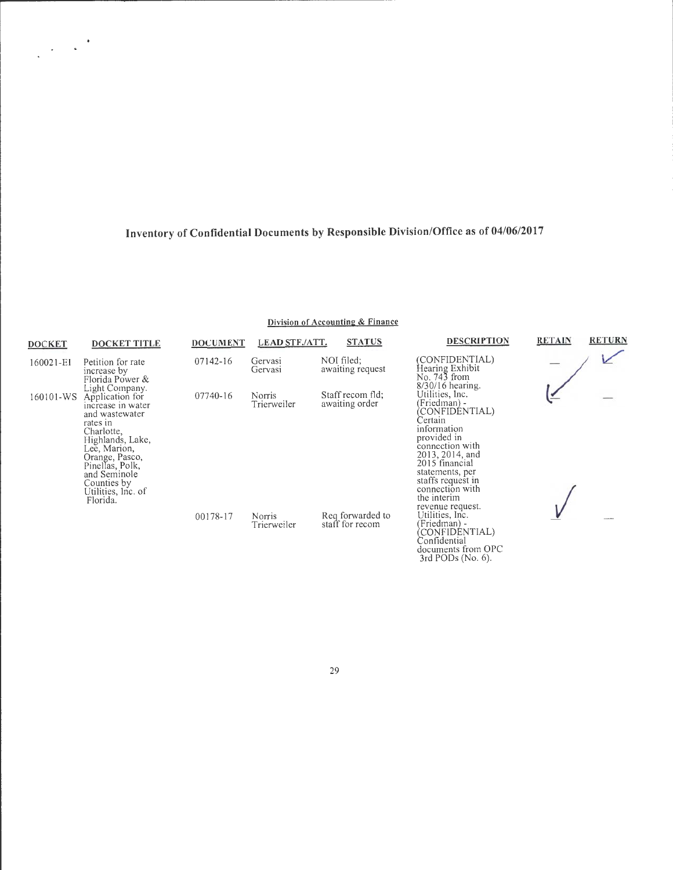#### **Division of Accounting & Finance**

| <b>DOCKET</b> | <b>DOCKET TITLE</b>                                                                                                                                                                                                                          | <b>DOCUMENT</b> | <b>LEAD STF./ATT.</b>        | <b>STATUS</b>                       | <b>DESCRIPTION</b>                                                                                                                                                                                                                               | <b>RETAIN</b> | <b>RETURN</b> |
|---------------|----------------------------------------------------------------------------------------------------------------------------------------------------------------------------------------------------------------------------------------------|-----------------|------------------------------|-------------------------------------|--------------------------------------------------------------------------------------------------------------------------------------------------------------------------------------------------------------------------------------------------|---------------|---------------|
| 160021-EI     | Petition for rate<br>increase by<br>Florida Power &                                                                                                                                                                                          | 07142-16        | Gervasi<br>Gervasi           | NOI filed;<br>awaiting request      | (CONFIDENTIAL)<br>Hearing Exhibit<br>No. 743 from<br>$8/30/16$ hearing.                                                                                                                                                                          |               |               |
| 160101-WS     | Light Company.<br>Application for<br>increase in water<br>and wastewater<br>rates in<br>Charlotte,<br>Highlands, Lake,<br>Lee, Marion,<br>Orange, Pasco,<br>Pinellas, Polk,<br>and Seminole<br>Counties by<br>Utilities, lnc. of<br>Florida. | 07740-16        | Norris<br>Trierweiler        | Staff recom fld;<br>awaiting order  | Utilities, Inc.<br>(Friedman) -<br>(CONFIDÉNTIAL)<br>Certain<br>information<br>provided in<br>connection with<br>2013, 2014, and<br>2015 financial<br>statements, per<br>staffs request in<br>connection with<br>the interim<br>revenue request. |               |               |
|               |                                                                                                                                                                                                                                              | 00178-17        | <b>Norris</b><br>Trierweiler | Req forwarded to<br>staff for recom | Utilities, Inc.<br>(Friedman) -<br>(CONFIDÉNTIAL)<br>Confidential<br>documents from OPC<br>3rd PODs (No. 6).                                                                                                                                     |               |               |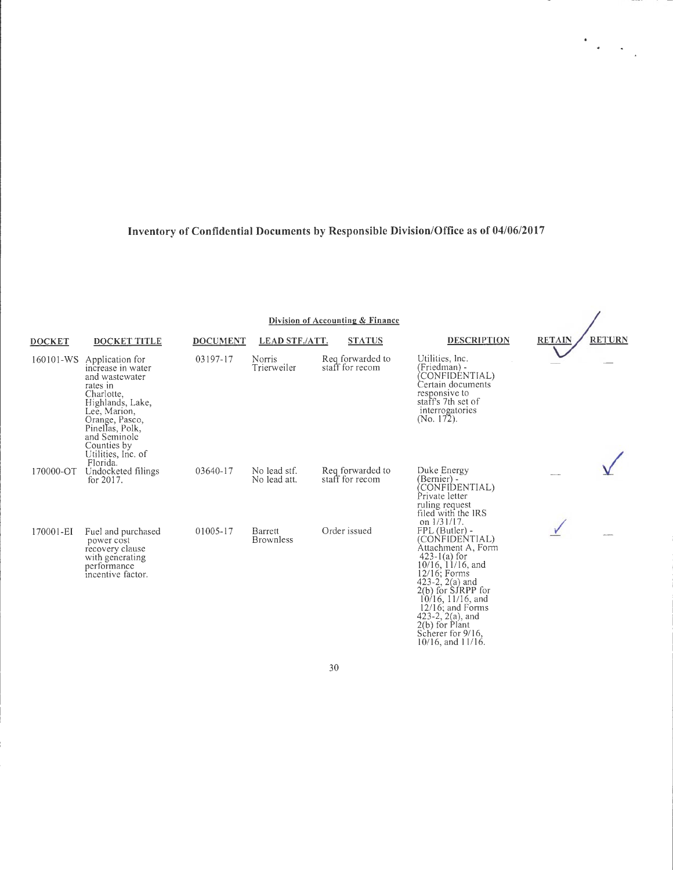$\frac{1}{\sqrt{2}}\sum_{i=1}^{n} \frac{1}{\sqrt{2}}\left(\frac{1}{\sqrt{2}}\right)^2\left(\frac{1}{\sqrt{2}}\right)^2$ 

 $\overline{1}$ 

Division of Accounting & Finance

| <b>DOCKET</b> | DOCKET TITLE                                                                                                                                                                                                               | <b>DOCUMENT</b> | <b>LEAD STF./ATT.</b>        | <b>STATUS</b>                       | <b>DESCRIPTION</b>                                                                                                                                                                                                                                                                                                                                         | <b>RETAIN</b> | <b>RETURN</b> |
|---------------|----------------------------------------------------------------------------------------------------------------------------------------------------------------------------------------------------------------------------|-----------------|------------------------------|-------------------------------------|------------------------------------------------------------------------------------------------------------------------------------------------------------------------------------------------------------------------------------------------------------------------------------------------------------------------------------------------------------|---------------|---------------|
| 160101-WS     | Application for<br>increase in water<br>and wastewater<br>rates in<br>Charlotte,<br>Highlands, Lake,<br>Lee, Marion,<br>Orange, Pasco,<br>Pinellas, Polk,<br>and Seminole<br>Counties by<br>Utilities, Inc. of<br>Florida. | 03197-17        | Norris<br>Trierweiler        | Reg forwarded to<br>staff for recom | Utilities, Inc.<br>(Friedman) -<br>CONFIDENTIAL)<br>Certain documents<br>responsive to<br>staff's 7th set of<br>interrogatories<br>(No. $172$ ).                                                                                                                                                                                                           |               |               |
| 170000-OT     | Undocketed filings<br>for $2017$ .                                                                                                                                                                                         | 03640-17        | No lead stf.<br>No lead att. | Reg forwarded to<br>staff for recom | Duke Energy<br>(Bernier) -<br>CONFIDENTIAL)<br>Private letter<br>ruling request<br>filed with the IRS<br>on $1/31/17$ .                                                                                                                                                                                                                                    |               |               |
| 170001-EI     | Fuel and purchased<br>power cost<br>recovery clause<br>with generating<br>performance<br>incentive factor.                                                                                                                 | 01005-17        | Barrett<br><b>Brownless</b>  | Order issued                        | $FPL$ (Butler) -<br>(CONFIDENTIAL)<br>Attachment A, Form<br>$423-1(a)$ for<br>$10/16$ , $11/16$ , and<br>12/16; Forms<br>$\begin{array}{c} 423-2, 2(a) \text{ and} \\ 2(b) \text{ for SIRPP for} \end{array}$<br>$10/16$ , $11/16$ , and<br>$12/16$ ; and Forms<br>423-2, $2(a)$ , and<br>$2(b)$ for Plant<br>Scherer for 9/16,<br>$10/16$ , and $11/16$ . |               |               |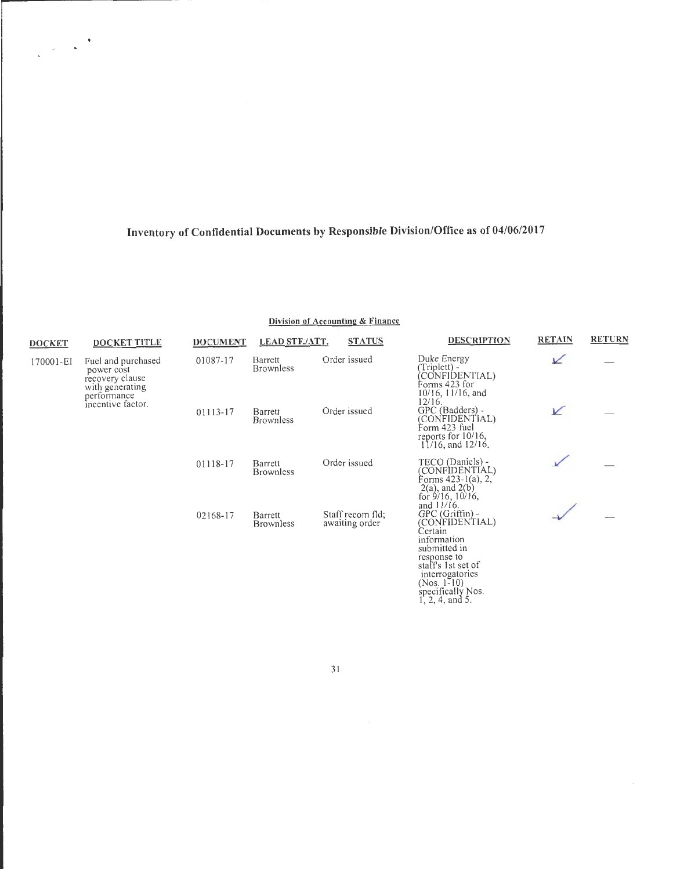$\frac{1}{\sqrt{2}}\left(\frac{1}{\sqrt{2}}\right)^{\frac{1}{2}}\left(\frac{1}{\sqrt{2}}\right)^{\frac{1}{2}}$ 

#### Division of Accounting & Finance

| <b>DOCKET</b>                                                                                                           | <b>DOCKET TITLE</b> | <b>DOCUMENT</b> | <b>LEAD STF./ATT.</b>       | <b>STATUS</b>                      | <b>DESCRIPTION</b>                                                                                                                                                                         | <b>RETAIN</b> | <b>RETURN</b> |
|-------------------------------------------------------------------------------------------------------------------------|---------------------|-----------------|-----------------------------|------------------------------------|--------------------------------------------------------------------------------------------------------------------------------------------------------------------------------------------|---------------|---------------|
| Fuel and purchased<br>170001-EI<br>power cost<br>recovery clause<br>with generating<br>performance<br>incentive factor. |                     | 01087-17        | Barrett<br><b>Brownless</b> | Order issued                       | Duke Energy<br>Triplett) -<br>CONFIDENTIAL)<br>Forms 423 for<br>10/16, 11/16, and<br>12/16.                                                                                                | ⊻             |               |
|                                                                                                                         |                     | 01113-17        | Barrett<br><b>Brownless</b> | Order issued                       | GPC (Badders) -<br>(CONFIDENTIAL)<br>Form 423 fuel<br>reports for 10/16,<br>$11/16$ , and $12/16$ .                                                                                        | V             |               |
|                                                                                                                         |                     | 01118-17        | Barrett<br><b>Brownless</b> | Order issued                       | TECO (Daniels) -<br>(CONFIDENTIAL)<br>Forms $423-1(a)$ , 2,<br>$2(a)$ , and $2(b)$<br>for $9/16$ , $10/16$ ,<br>and $11/16$ .                                                              |               |               |
|                                                                                                                         |                     | 02168-17        | Barrett<br><b>Brownless</b> | Staff recom fld;<br>awaiting order | GPC (Griffin) -<br>(CONFIDENTIAL)<br>Certain<br>information<br>submitted in<br>response to<br>staff's 1st set of<br>interrogatories<br>(Nos. 1-10)<br>specifically Nos.<br>1, 2, 4, and 5. |               |               |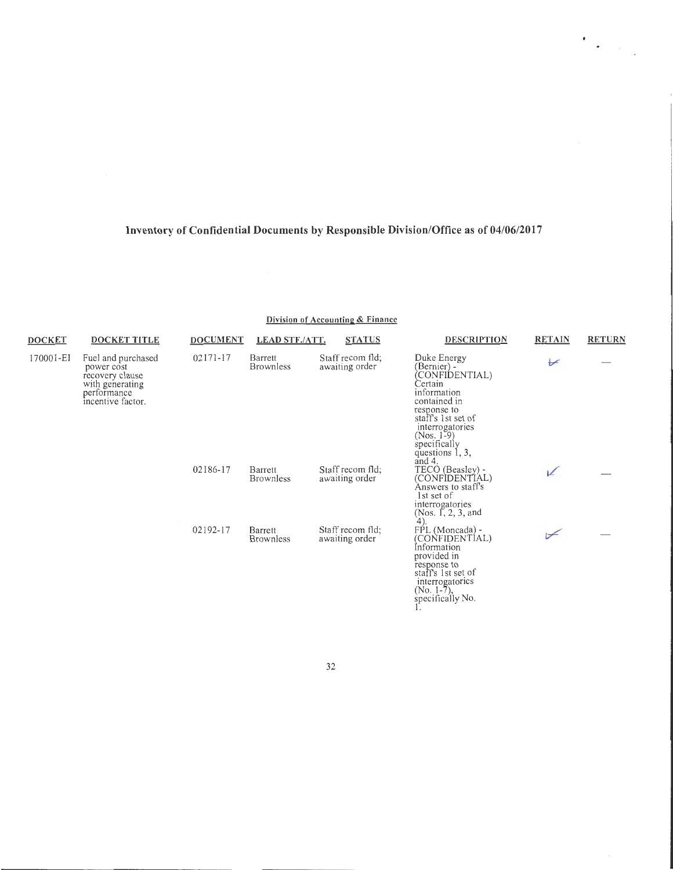$\begin{aligned} \mathbf{F}_{\text{max}}(\mathbf{r}) = \mathbf{F}_{\text{max}}(\mathbf{r}) \end{aligned}$ 

**Division of Accounting & Finance** 

| <b>DOCKET</b> | <b>DOCKET TITLE</b>                                                                                        | <b>DOCUMENT</b> | <b>LEAD STF./ATT.</b>       | <b>STATUS</b>                      | <b>DESCRIPTION</b>                                                                                                                                                                                            | <b>RETAIN</b>            | <b>RETURN</b> |
|---------------|------------------------------------------------------------------------------------------------------------|-----------------|-----------------------------|------------------------------------|---------------------------------------------------------------------------------------------------------------------------------------------------------------------------------------------------------------|--------------------------|---------------|
| 170001-EI     | Fuel and purchased<br>power cost<br>recovery clause<br>with generating<br>performance<br>incentive factor. | 02171-17        | Barrett<br><b>Brownless</b> | Staff recom fld;<br>awaiting order | Duke Energy<br>(Bernier) -<br>CONFIDENTIAL)<br>Certain<br>information<br>contained in<br>response to<br>staff's 1st set of<br>interrogatories<br>$(Nos. 1-9)$<br>specifically<br>questions 1, 3,<br>and $4$ . | $\overline{\mathscr{U}}$ |               |
|               |                                                                                                            | 02186-17        | Barrett<br><b>Brownless</b> | Staff recom fld;<br>awaiting order | TECO (Beasley) -<br>(CONFIDENTIAL)<br>Answers to staff's<br>1st set of<br>interrogatories<br>(Nos. 1, 2, 3, and<br>$4)$ .                                                                                     | v                        |               |
|               |                                                                                                            | 02192-17        | Barrett<br><b>Brownless</b> | Staff recom fld;<br>awaiting order | FPL (Moncada) -<br>(CONFIDENTIAL)<br>Information<br>provided in<br>response to<br>staff's 1st set of<br>interrogatorics<br>(No. 1-7),<br>specifically No.                                                     | ⊬                        |               |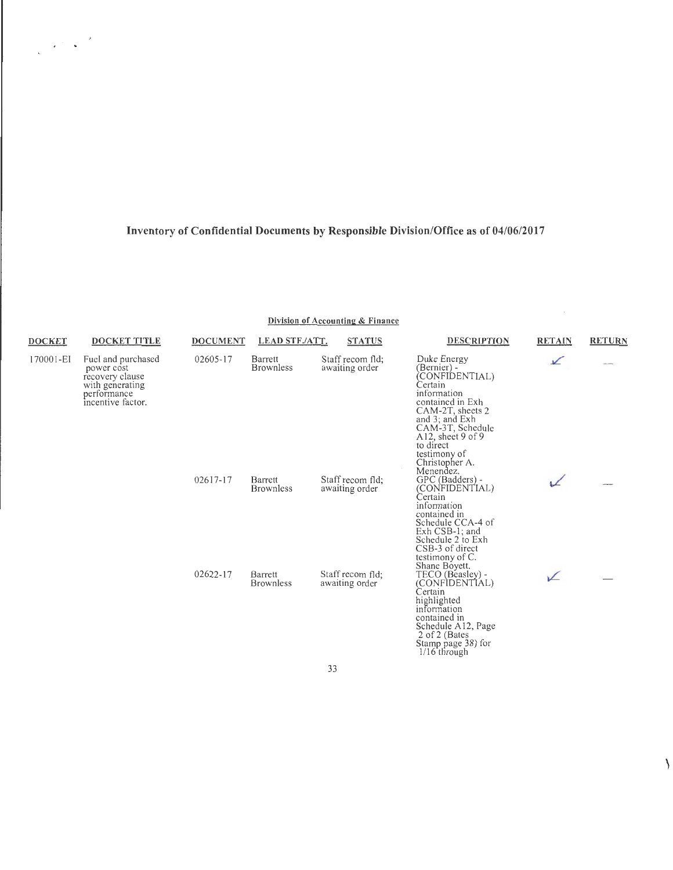$\label{eq:2} \frac{1}{\sqrt{2\pi}}\left(\frac{1}{\sqrt{2\pi}}\right)^{1/2}\frac{1}{\sqrt{2\pi}}\left(\frac{1}{\sqrt{2\pi}}\right)^{1/2}$ 

**Division of Accounting & Finance** 

| <b>DOCKET</b> | <b>DOCKET TITLE</b>                                                                                        | <b>DOCUMENT</b> | <b>LEAD STF./ATT.</b>       | <b>STATUS</b>                      | <b>DESCRIPTION</b>                                                                                                                                                                                                                        | <b>RETAIN</b> | <b>RETURN</b> |
|---------------|------------------------------------------------------------------------------------------------------------|-----------------|-----------------------------|------------------------------------|-------------------------------------------------------------------------------------------------------------------------------------------------------------------------------------------------------------------------------------------|---------------|---------------|
| 170001-EI     | Fuel and purchased<br>power cost<br>recovery clause<br>with generating<br>performance<br>incentive factor. | 02605-17        | Barrett<br><b>Brownless</b> | Staff recom fld:<br>awaiting order | Duke Energy<br>(Bernier) -<br>(CONFIDENTIAL)<br>Certain<br>information<br>contained in Exh<br>CAM-2T, sheets 2<br>and 3; and Exh<br>CAM-3T, Schedule<br>A12, sheet $9$ of $9$<br>to direct<br>testimony of<br>Christopher A.<br>Menendez. | $\sqrt{}$     |               |
|               |                                                                                                            | 02617-17        | Barrett<br><b>Brownless</b> | Staff recom fld:<br>awaiting order | GPC (Badders) -<br>(CONFIDENTIAL)<br>Certain<br>information<br>contained in<br>Schedule CCA-4 of<br>Exh CSB-1; and<br>Schedule 2 to Exh<br>CSB-3 of direct<br>testimony of C.<br>Shane Boyett.                                            |               |               |
|               |                                                                                                            | 02622-17        | Barrett<br><b>Brownless</b> | Staff recom fld:<br>awaiting order | TECO (Beasley) -<br>(CONFIDENTIAL)<br>Certain<br>highlighted<br>information<br>contained in<br>Schedule A12, Page<br>2 of 2 (Bates)<br>Stamp page 38) for<br>$1/16$ through                                                               | ↙             |               |

33

 $\setminus$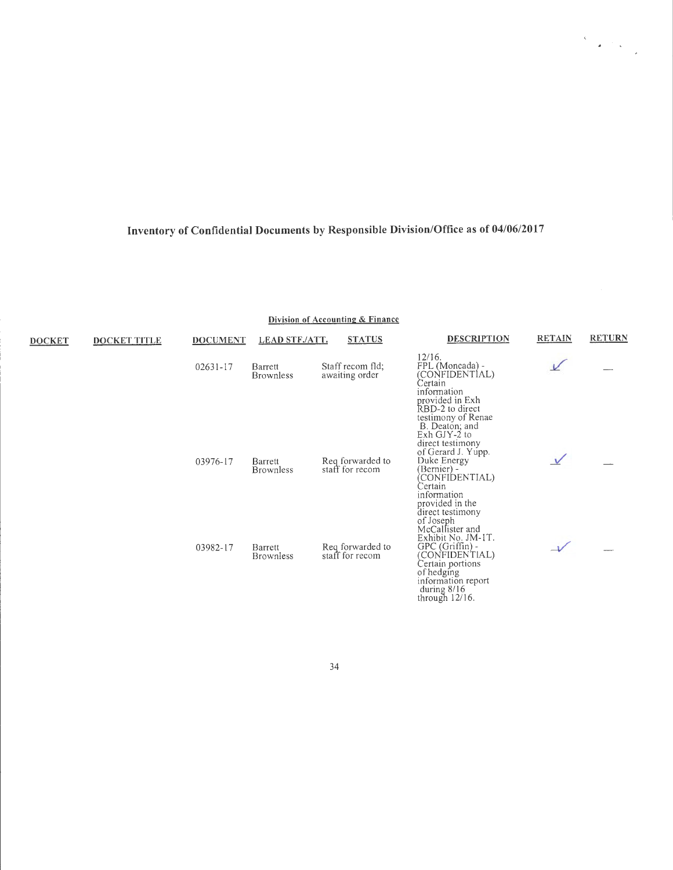**Division of Accounting & Finance** 

| <b>DOCKET</b> | <b>DOCKET TITLE</b> | <b>DOCUMENT</b> | <b>LEAD STF./ATT.</b>       | <b>STATUS</b>                       | <b>DESCRIPTION</b>                                                                                                                                                                        | <b>RETAIN</b> | <b>RETURN</b> |
|---------------|---------------------|-----------------|-----------------------------|-------------------------------------|-------------------------------------------------------------------------------------------------------------------------------------------------------------------------------------------|---------------|---------------|
|               |                     | $02631 - 17$    | Barrett<br><b>Brownless</b> | Staff recom fld;<br>awaiting order  | 12/16.<br>FPL (Moncada) -<br>(CONFIDENTÍAL)<br>Certain<br>information<br>provided in Exh<br>RBD-2 to direct<br>testimony of Renae<br>B. Deaton; and<br>Exh $GJY-2$ to<br>direct testimony |               |               |
|               |                     | 03976-17        | Barrett<br><b>Brownless</b> | Reg forwarded to<br>staff for recom | of Gerard J. Yupp.<br>Duke Energy<br>(Bernier) -<br>(CONFIDENTIAL)<br>Certain<br>information<br>provided in the<br>direct testimony<br>of Joseph<br>McCallister and                       | $\vee$        |               |
|               |                     | 03982-17        | Barrett<br><b>Brownless</b> | Req forwarded to<br>staff for recom | Exhibit No. JM-1T.<br>GPC (Griffin) -<br>(CONFIDENTIAL)<br>Certain portions<br>of hedging<br>information report<br>during $8/16$<br>through $12/16$ .                                     |               |               |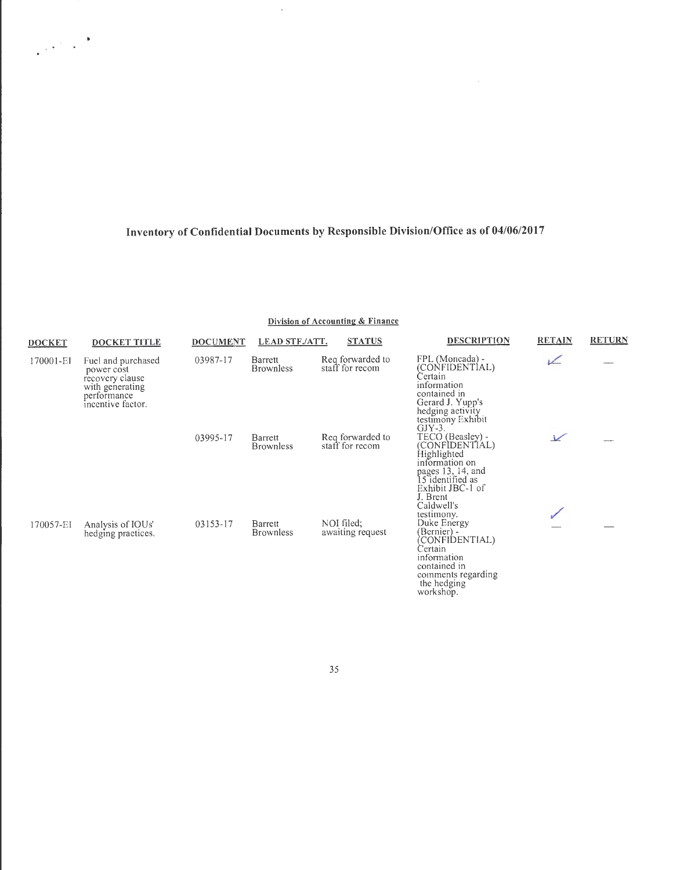$\hat{\mathcal{A}}$ 

 $\frac{1}{\sqrt{2\pi}}\sqrt{2\pi}\left(\frac{1}{2\pi}\right)^{2/3}$ 

**Division of Accounting & Finance** 

| <b>DOCKET</b> | DOCKET TITLE                                                                                               | <b>DOCUMENT</b> | <b>LEAD STF./ATT.</b>       | <b>STATUS</b>                       | <b>DESCRIPTION</b>                                                                                                                                         | <b>RETAIN</b> | <b>RETURN</b> |
|---------------|------------------------------------------------------------------------------------------------------------|-----------------|-----------------------------|-------------------------------------|------------------------------------------------------------------------------------------------------------------------------------------------------------|---------------|---------------|
| 170001-EI     | Fuel and purchased<br>power cost<br>recovery clause<br>with generating<br>performance<br>incentive factor. | 03987-17        | Barrett<br><b>Brownless</b> | Req forwarded to<br>staff for recom | FPL (Moncada) -<br>(CONFIDENTIAL)<br>Certain<br>information<br>contained in<br>Gerard J. Yupp's<br>hedging activity<br>testimony Exhibit<br>$GJY-3.$       | ↙             |               |
|               |                                                                                                            | 03995-17        | Barrett<br><b>Brownless</b> | Reg forwarded to<br>staff for recom | TECO (Beasley) -<br>(CONFIDENTIAL)<br>Highlighted<br>information on<br>pages 13, 14, and<br>15 identified as<br>Exhibit JBC-1 of<br>J. Brent<br>Caldwell's | $\sqrt{}$     |               |
| 170057-EI     | Analysis of IOUs'<br>hedging practices.                                                                    | 03153-17        | Barrett<br><b>Brownless</b> | NOI filed:<br>awaiting request      | testimony.<br>Duke Energy<br>(Bernier) -<br>CONFIDENTIAL)<br>Certain<br>information<br>contained in<br>comments regarding<br>the hedging<br>workshop.      |               |               |